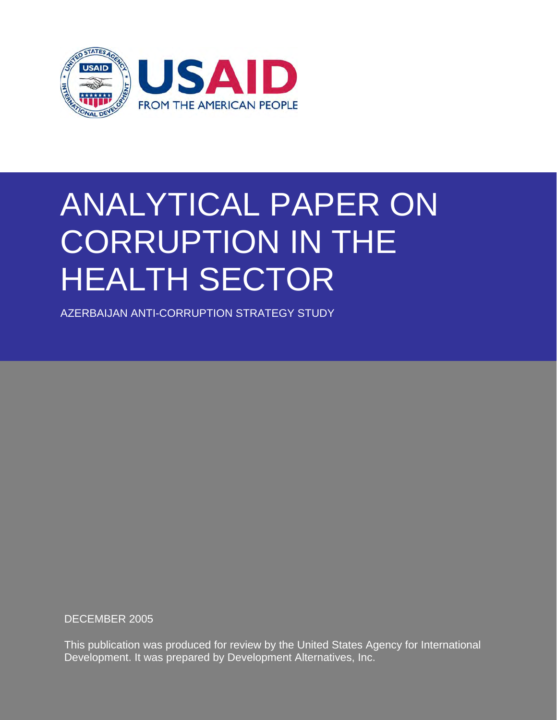

# ANALYTICAL PAPER ON CORRUPTION IN THE HEALTH SECTOR

AZERBAIJAN ANTI-CORRUPTION STRATEGY STUDY

DECEMBER 2005

This publication was produced for review by the United States Agency for International Development. It was prepared by Development Alternatives, Inc.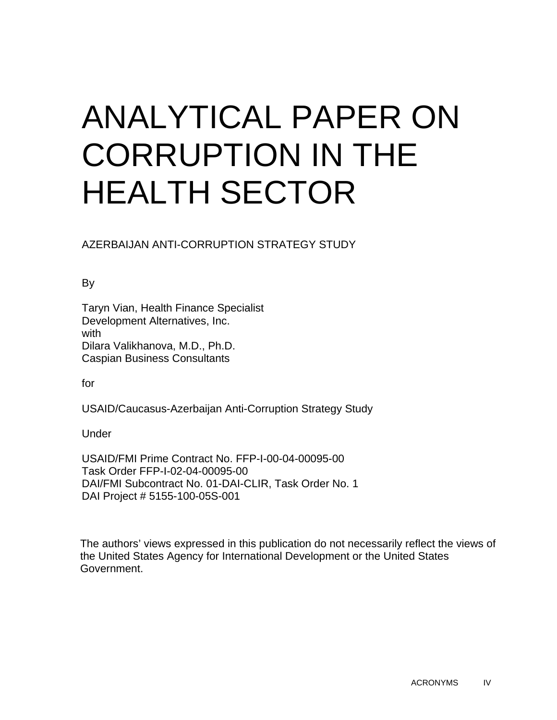# ANALYTICAL PAPER ON CORRUPTION IN THE HEALTH SECTOR

AZERBAIJAN ANTI-CORRUPTION STRATEGY STUDY

By

Taryn Vian, Health Finance Specialist Development Alternatives, Inc. with Dilara Valikhanova, M.D., Ph.D. Caspian Business Consultants

for

USAID/Caucasus-Azerbaijan Anti-Corruption Strategy Study

Under

USAID/FMI Prime Contract No. FFP-I-00-04-00095-00 Task Order FFP-I-02-04-00095-00 DAI/FMI Subcontract No. 01-DAI-CLIR, Task Order No. 1 DAI Project # 5155-100-05S-001

The authors' views expressed in this publication do not necessarily reflect the views of the United States Agency for International Development or the United States Government.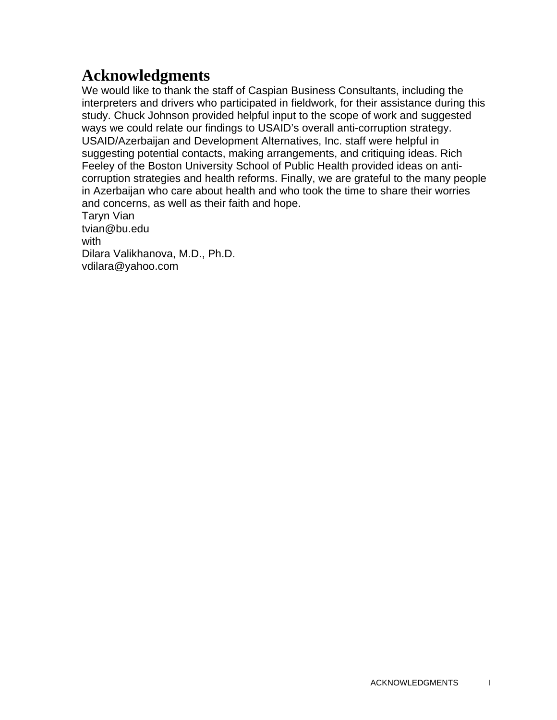## **Acknowledgments**

We would like to thank the staff of Caspian Business Consultants, including the interpreters and drivers who participated in fieldwork, for their assistance during this study. Chuck Johnson provided helpful input to the scope of work and suggested ways we could relate our findings to USAID's overall anti-corruption strategy. USAID/Azerbaijan and Development Alternatives, Inc. staff were helpful in suggesting potential contacts, making arrangements, and critiquing ideas. Rich Feeley of the Boston University School of Public Health provided ideas on anticorruption strategies and health reforms. Finally, we are grateful to the many people in Azerbaijan who care about health and who took the time to share their worries and concerns, as well as their faith and hope. Taryn Vian

tvian@bu.edu with Dilara Valikhanova, M.D., Ph.D. vdilara@yahoo.com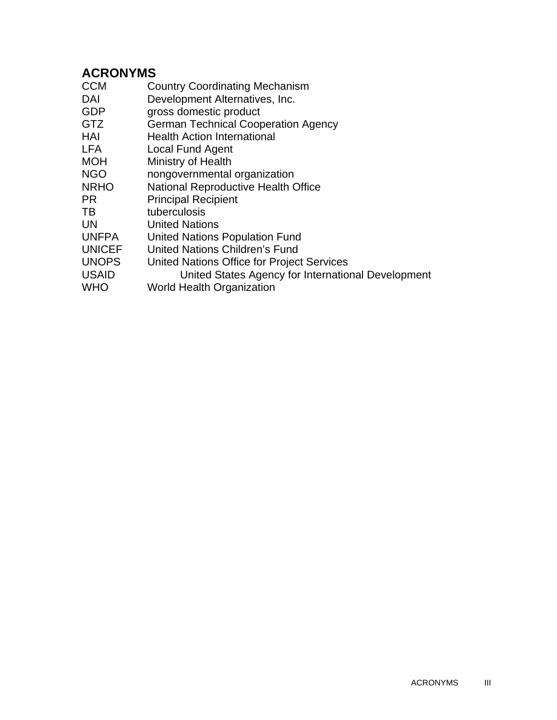### **ACRONYMS**

| WHO | CCM<br>DAI<br>GDP<br><b>GTZ</b><br>HAI<br>LFA<br>MOH<br>NGO<br>NRHO<br>PR<br>ТB<br>UN<br><b>UNFPA</b><br><b>UNICEF</b><br><b>UNOPS</b><br>USAID | <b>Country Coordinating Mechanism</b><br>Development Alternatives, Inc.<br>gross domestic product<br><b>German Technical Cooperation Agency</b><br><b>Health Action International</b><br><b>Local Fund Agent</b><br>Ministry of Health<br>nongovernmental organization<br><b>National Reproductive Health Office</b><br><b>Principal Recipient</b><br>tuberculosis<br><b>United Nations</b><br>United Nations Population Fund<br>United Nations Children's Fund<br>United Nations Office for Project Services<br>United States Agency for International Development |  |
|-----|-------------------------------------------------------------------------------------------------------------------------------------------------|---------------------------------------------------------------------------------------------------------------------------------------------------------------------------------------------------------------------------------------------------------------------------------------------------------------------------------------------------------------------------------------------------------------------------------------------------------------------------------------------------------------------------------------------------------------------|--|
|     |                                                                                                                                                 | <b>World Health Organization</b>                                                                                                                                                                                                                                                                                                                                                                                                                                                                                                                                    |  |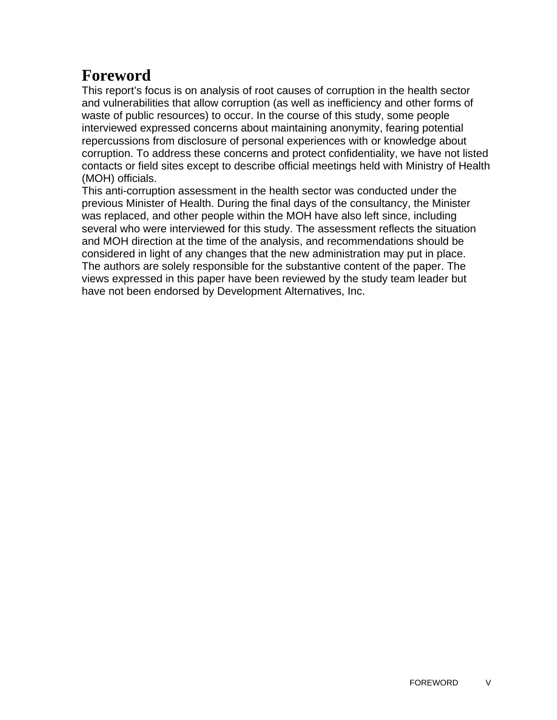## **Foreword**

This report's focus is on analysis of root causes of corruption in the health sector and vulnerabilities that allow corruption (as well as inefficiency and other forms of waste of public resources) to occur. In the course of this study, some people interviewed expressed concerns about maintaining anonymity, fearing potential repercussions from disclosure of personal experiences with or knowledge about corruption. To address these concerns and protect confidentiality, we have not listed contacts or field sites except to describe official meetings held with Ministry of Health (MOH) officials.

This anti-corruption assessment in the health sector was conducted under the previous Minister of Health. During the final days of the consultancy, the Minister was replaced, and other people within the MOH have also left since, including several who were interviewed for this study. The assessment reflects the situation and MOH direction at the time of the analysis, and recommendations should be considered in light of any changes that the new administration may put in place. The authors are solely responsible for the substantive content of the paper. The views expressed in this paper have been reviewed by the study team leader but have not been endorsed by Development Alternatives, Inc.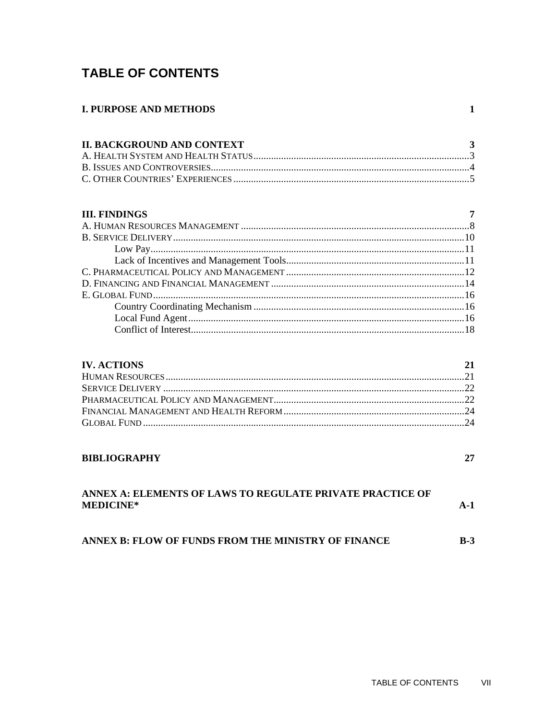### **TABLE OF CONTENTS**

#### **I. PURPOSE AND METHODS**

| <b>II. BACKGROUND AND CONTEXT</b> | $\mathbf{3}$ |
|-----------------------------------|--------------|
|                                   |              |
|                                   |              |
|                                   |              |

#### **III. FINDINGS**

| <b>III. FINDINGS</b> |  |
|----------------------|--|
|                      |  |
|                      |  |
|                      |  |
|                      |  |
|                      |  |
|                      |  |
|                      |  |
|                      |  |
|                      |  |
|                      |  |

#### **IV. ACTIONS**

| <b>IV. ACTIONS</b> | 21 |
|--------------------|----|
|                    |    |
|                    |    |
|                    |    |
|                    |    |
|                    |    |

#### **BIBLIOGRAPHY**

27

 $\mathbf{1}$ 

| ANNEX A: ELEMENTS OF LAWS TO REGULATE PRIVATE PRACTICE OF |       |
|-----------------------------------------------------------|-------|
| <b>MEDICINE*</b>                                          | $A-1$ |
|                                                           |       |

#### ANNEX B: FLOW OF FUNDS FROM THE MINISTRY OF FINANCE  $B-3$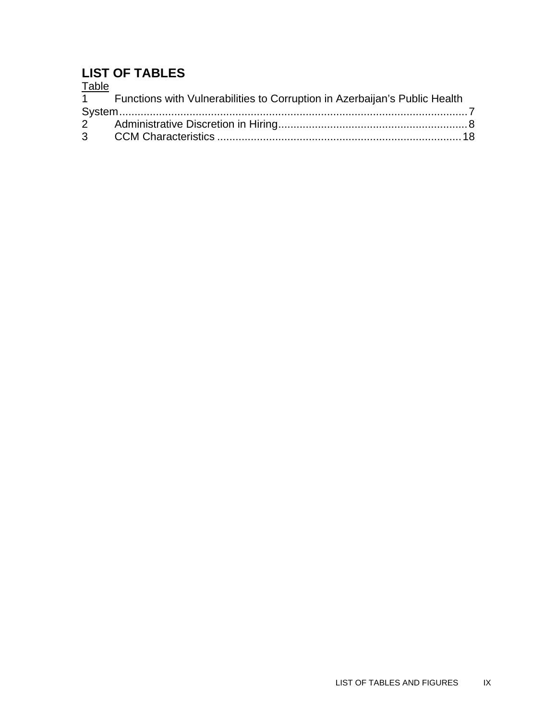#### **LIST OF TABLES**  Table

| $I$ dult |                                                                              |  |
|----------|------------------------------------------------------------------------------|--|
|          | 1 Functions with Vulnerabilities to Corruption in Azerbaijan's Public Health |  |
|          |                                                                              |  |
|          |                                                                              |  |
|          |                                                                              |  |
|          |                                                                              |  |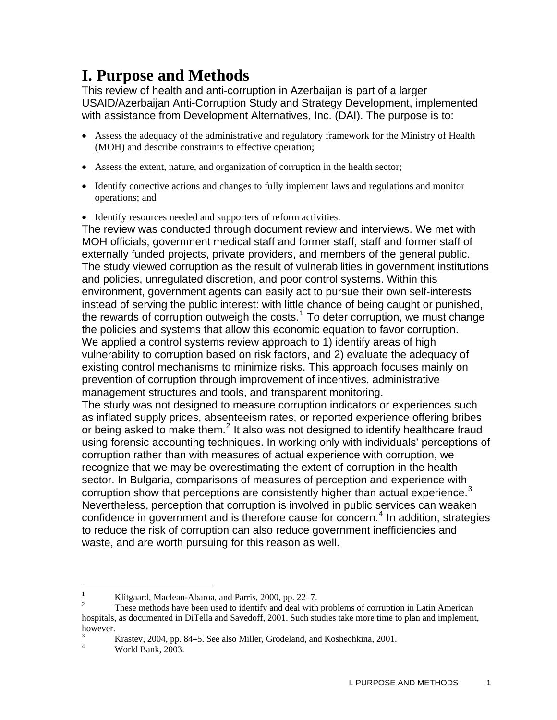## <span id="page-11-0"></span>**I. Purpose and Methods**

This review of health and anti-corruption in Azerbaijan is part of a larger USAID/Azerbaijan Anti-Corruption Study and Strategy Development, implemented with assistance from Development Alternatives, Inc. (DAI). The purpose is to:

- Assess the adequacy of the administrative and regulatory framework for the Ministry of Health (MOH) and describe constraints to effective operation;
- Assess the extent, nature, and organization of corruption in the health sector;
- Identify corrective actions and changes to fully implement laws and regulations and monitor operations; and
- Identify resources needed and supporters of reform activities.

The review was conducted through document review and interviews. We met with MOH officials, government medical staff and former staff, staff and former staff of externally funded projects, private providers, and members of the general public. The study viewed corruption as the result of vulnerabilities in government institutions and policies, unregulated discretion, and poor control systems. Within this environment, government agents can easily act to pursue their own self-interests instead of serving the public interest: with little chance of being caught or punished, the rewards of corruption outweigh the costs. $1$  To deter corruption, we must change the policies and systems that allow this economic equation to favor corruption. We applied a control systems review approach to 1) identify areas of high vulnerability to corruption based on risk factors, and 2) evaluate the adequacy of existing control mechanisms to minimize risks. This approach focuses mainly on prevention of corruption through improvement of incentives, administrative management structures and tools, and transparent monitoring.

The study was not designed to measure corruption indicators or experiences such as inflated supply prices, absenteeism rates, or reported experience offering bribes or being asked to make them. $^2$  $^2$  It also was not designed to identify healthcare fraud using forensic accounting techniques. In working only with individuals' perceptions of corruption rather than with measures of actual experience with corruption, we recognize that we may be overestimating the extent of corruption in the health sector. In Bulgaria, comparisons of measures of perception and experience with corruption show that perceptions are consistently higher than actual experience. $3$ Nevertheless, perception that corruption is involved in public services can weaken confidence in government and is therefore cause for concern.<sup>[4](#page-11-4)</sup> In addition, strategies to reduce the risk of corruption can also reduce government inefficiencies and waste, and are worth pursuing for this reason as well.

 $\frac{1}{1}$ Klitgaard, Maclean-Abaroa, and Parris, 2000, pp. 22–7.

<span id="page-11-2"></span><span id="page-11-1"></span><sup>2</sup> These methods have been used to identify and deal with problems of corruption in Latin American hospitals, as documented in DiTella and Savedoff, 2001. Such studies take more time to plan and implement, however.

<span id="page-11-4"></span><span id="page-11-3"></span><sup>3</sup> Krastev, 2004, pp. 84–5. See also Miller, Grodeland, and Koshechkina, 2001.

<sup>4</sup> World Bank, 2003.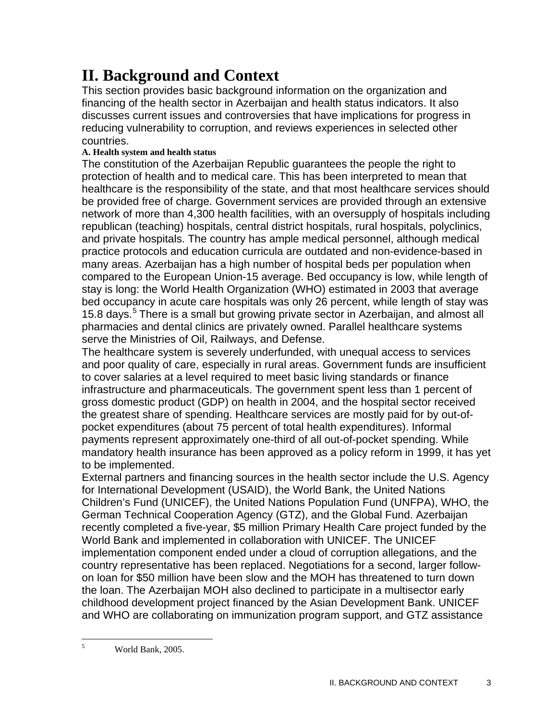## <span id="page-13-0"></span>**II. Background and Context**

This section provides basic background information on the organization and financing of the health sector in Azerbaijan and health status indicators. It also discusses current issues and controversies that have implications for progress in reducing vulnerability to corruption, and reviews experiences in selected other countries.

#### **A. Health system and health status**

The constitution of the Azerbaijan Republic guarantees the people the right to protection of health and to medical care. This has been interpreted to mean that healthcare is the responsibility of the state, and that most healthcare services should be provided free of charge. Government services are provided through an extensive network of more than 4,300 health facilities, with an oversupply of hospitals including republican (teaching) hospitals, central district hospitals, rural hospitals, polyclinics, and private hospitals. The country has ample medical personnel, although medical practice protocols and education curricula are outdated and non-evidence-based in many areas. Azerbaijan has a high number of hospital beds per population when compared to the European Union-15 average. Bed occupancy is low, while length of stay is long: the World Health Organization (WHO) estimated in 2003 that average bed occupancy in acute care hospitals was only 26 percent, while length of stay was 1[5](#page-13-1).8 days.<sup>5</sup> There is a small but growing private sector in Azerbaijan, and almost all pharmacies and dental clinics are privately owned. Parallel healthcare systems serve the Ministries of Oil, Railways, and Defense.

The healthcare system is severely underfunded, with unequal access to services and poor quality of care, especially in rural areas. Government funds are insufficient to cover salaries at a level required to meet basic living standards or finance infrastructure and pharmaceuticals. The government spent less than 1 percent of gross domestic product (GDP) on health in 2004, and the hospital sector received the greatest share of spending. Healthcare services are mostly paid for by out-ofpocket expenditures (about 75 percent of total health expenditures). Informal payments represent approximately one-third of all out-of-pocket spending. While mandatory health insurance has been approved as a policy reform in 1999, it has yet to be implemented.

External partners and financing sources in the health sector include the U.S. Agency for International Development (USAID), the World Bank, the United Nations Children's Fund (UNICEF), the United Nations Population Fund (UNFPA), WHO, the German Technical Cooperation Agency (GTZ), and the Global Fund. Azerbaijan recently completed a five-year, \$5 million Primary Health Care project funded by the World Bank and implemented in collaboration with UNICEF. The UNICEF implementation component ended under a cloud of corruption allegations, and the country representative has been replaced. Negotiations for a second, larger followon loan for \$50 million have been slow and the MOH has threatened to turn down the loan. The Azerbaijan MOH also declined to participate in a multisector early childhood development project financed by the Asian Development Bank. UNICEF and WHO are collaborating on immunization program support, and GTZ assistance

<span id="page-13-1"></span> 5 World Bank, 2005.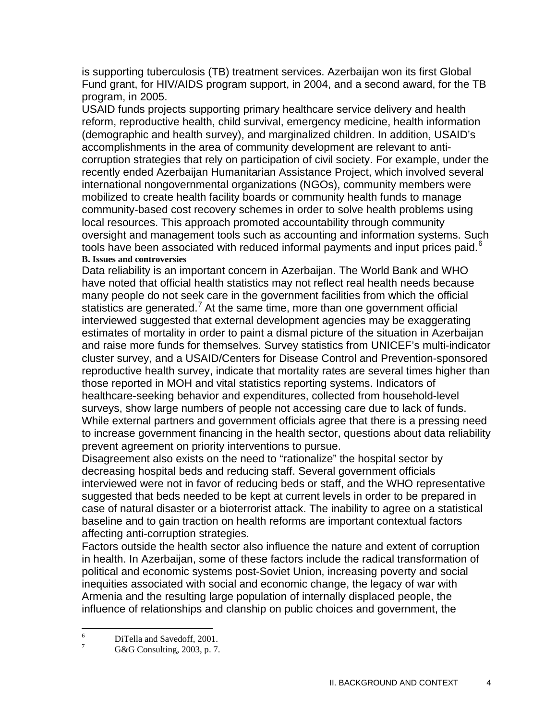<span id="page-14-0"></span>is supporting tuberculosis (TB) treatment services. Azerbaijan won its first Global Fund grant, for HIV/AIDS program support, in 2004, and a second award, for the TB program, in 2005.

USAID funds projects supporting primary healthcare service delivery and health reform, reproductive health, child survival, emergency medicine, health information (demographic and health survey), and marginalized children. In addition, USAID's accomplishments in the area of community development are relevant to anticorruption strategies that rely on participation of civil society. For example, under the recently ended Azerbaijan Humanitarian Assistance Project, which involved several international nongovernmental organizations (NGOs), community members were mobilized to create health facility boards or community health funds to manage community-based cost recovery schemes in order to solve health problems using local resources. This approach promoted accountability through community oversight and management tools such as accounting and information systems. Such tools have been associated with reduced informal payments and input prices paid. $6$ **B. Issues and controversies** 

Data reliability is an important concern in Azerbaijan. The World Bank and WHO have noted that official health statistics may not reflect real health needs because many people do not seek care in the government facilities from which the official statistics are generated.<sup>[7](#page-14-2)</sup> At the same time, more than one government official interviewed suggested that external development agencies may be exaggerating estimates of mortality in order to paint a dismal picture of the situation in Azerbaijan and raise more funds for themselves. Survey statistics from UNICEF's multi-indicator cluster survey, and a USAID/Centers for Disease Control and Prevention-sponsored reproductive health survey, indicate that mortality rates are several times higher than those reported in MOH and vital statistics reporting systems. Indicators of healthcare-seeking behavior and expenditures, collected from household-level surveys, show large numbers of people not accessing care due to lack of funds. While external partners and government officials agree that there is a pressing need to increase government financing in the health sector, questions about data reliability prevent agreement on priority interventions to pursue.

Disagreement also exists on the need to "rationalize" the hospital sector by decreasing hospital beds and reducing staff. Several government officials interviewed were not in favor of reducing beds or staff, and the WHO representative suggested that beds needed to be kept at current levels in order to be prepared in case of natural disaster or a bioterrorist attack. The inability to agree on a statistical baseline and to gain traction on health reforms are important contextual factors affecting anti-corruption strategies.

Factors outside the health sector also influence the nature and extent of corruption in health. In Azerbaijan, some of these factors include the radical transformation of political and economic systems post-Soviet Union, increasing poverty and social inequities associated with social and economic change, the legacy of war with Armenia and the resulting large population of internally displaced people, the influence of relationships and clanship on public choices and government, the

<span id="page-14-1"></span> $\frac{1}{6}$ DiTella and Savedoff, 2001.

<span id="page-14-2"></span><sup>7</sup> G&G Consulting, 2003, p. 7.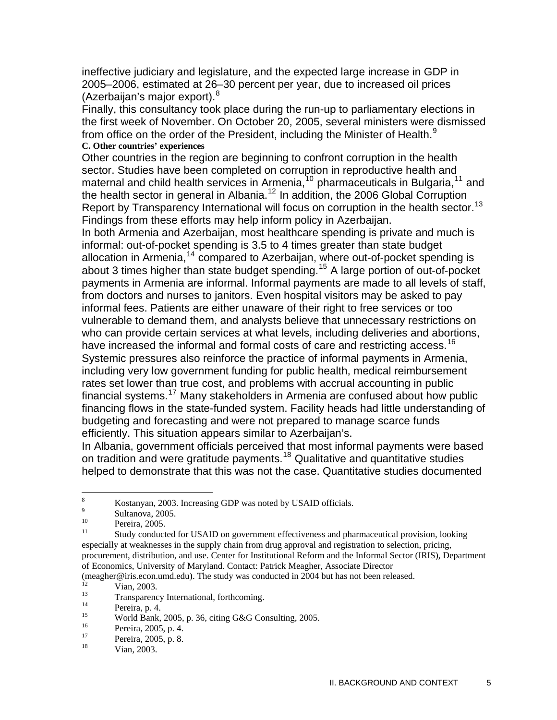<span id="page-15-0"></span>ineffective judiciary and legislature, and the expected large increase in GDP in 2005–2006, estimated at 26–30 percent per year, due to increased oil prices (Azerbaijan's major export).<sup>[8](#page-15-1)</sup>

Finally, this consultancy took place during the run-up to parliamentary elections in the first week of November. On October 20, 2005, several ministers were dismissed from office on the order of the President, including the Minister of Health.<sup>[9](#page-15-2)</sup> **C. Other countries' experiences** 

Other countries in the region are beginning to confront corruption in the health sector. Studies have been completed on corruption in reproductive health and maternal and child health services in Armenia,<sup>[10](#page-15-3)</sup> pharmaceuticals in Bulgaria,<sup>[11](#page-15-4)</sup> and the health sector in general in Albania.<sup>[12](#page-15-5)</sup> In addition, the 2006 Global Corruption Report by Transparency International will focus on corruption in the health sector.<sup>[13](#page-15-6)</sup> Findings from these efforts may help inform policy in Azerbaijan.

In both Armenia and Azerbaijan, most healthcare spending is private and much is informal: out-of-pocket spending is 3.5 to 4 times greater than state budget allocation in Armenia,<sup>[14](#page-15-7)</sup> compared to Azerbaijan, where out-of-pocket spending is about 3 times higher than state budget spending.<sup>[15](#page-15-8)</sup> A large portion of out-of-pocket payments in Armenia are informal. Informal payments are made to all levels of staff, from doctors and nurses to janitors. Even hospital visitors may be asked to pay informal fees. Patients are either unaware of their right to free services or too vulnerable to demand them, and analysts believe that unnecessary restrictions on who can provide certain services at what levels, including deliveries and abortions, have increased the informal and formal costs of care and restricting access.<sup>[16](#page-15-9)</sup> Systemic pressures also reinforce the practice of informal payments in Armenia, including very low government funding for public health, medical reimbursement rates set lower than true cost, and problems with accrual accounting in public financial systems.<sup>[17](#page-15-10)</sup> Many stakeholders in Armenia are confused about how public financing flows in the state-funded system. Facility heads had little understanding of budgeting and forecasting and were not prepared to manage scarce funds efficiently. This situation appears similar to Azerbaijan's.

In Albania, government officials perceived that most informal payments were based on tradition and were gratitude payments.<sup>[18](#page-15-11)</sup> Qualitative and quantitative studies helped to demonstrate that this was not the case. Quantitative studies documented

<span id="page-15-5"></span>(meagher@iris.econ.umd.edu). The study was conducted in 2004 but has not been released.

 8 Kostanyan, 2003. Increasing GDP was noted by USAID officials.

<span id="page-15-2"></span><span id="page-15-1"></span><sup>9</sup>  $\frac{9}{10}$  Sultanova, 2005.

<span id="page-15-3"></span> $^{10}$  Pereira, 2005.

<span id="page-15-4"></span>Study conducted for USAID on government effectiveness and pharmaceutical provision, looking especially at weaknesses in the supply chain from drug approval and registration to selection, pricing, procurement, distribution, and use. Center for Institutional Reform and the Informal Sector (IRIS), Department of Economics, University of Maryland. Contact: Patrick Meagher, Associate Director

 $\frac{12}{13}$  Vian, 2003.

<span id="page-15-6"></span> $\frac{13}{14}$  Transparency International, forthcoming.

<span id="page-15-7"></span> $\frac{14}{15}$  Pereira, p. 4.

<span id="page-15-8"></span><sup>&</sup>lt;sup>15</sup> World Bank, 2005, p. 36, citing G&G Consulting, 2005.

<span id="page-15-9"></span> $16$  Pereira, 2005, p. 4.

<span id="page-15-11"></span><span id="page-15-10"></span> $17 \text{ Pereira}, 2005, \text{ p. } 8.$ 

Vian, 2003.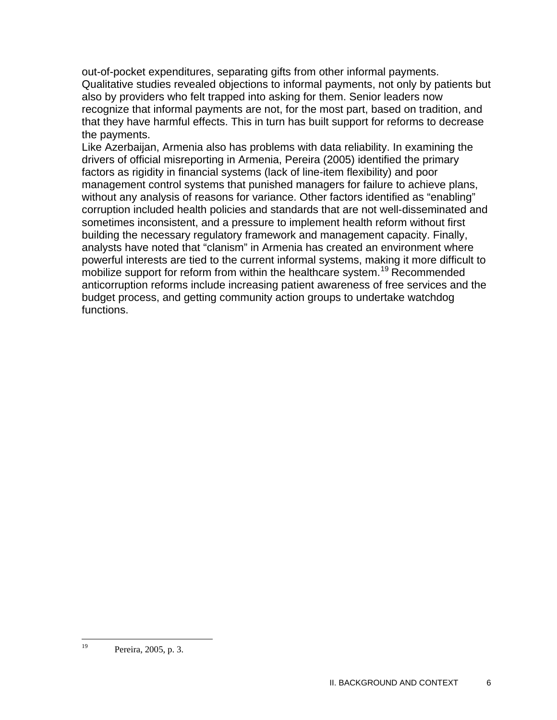out-of-pocket expenditures, separating gifts from other informal payments. Qualitative studies revealed objections to informal payments, not only by patients but also by providers who felt trapped into asking for them. Senior leaders now recognize that informal payments are not, for the most part, based on tradition, and that they have harmful effects. This in turn has built support for reforms to decrease the payments.

Like Azerbaijan, Armenia also has problems with data reliability. In examining the drivers of official misreporting in Armenia, Pereira (2005) identified the primary factors as rigidity in financial systems (lack of line-item flexibility) and poor management control systems that punished managers for failure to achieve plans, without any analysis of reasons for variance. Other factors identified as "enabling" corruption included health policies and standards that are not well-disseminated and sometimes inconsistent, and a pressure to implement health reform without first building the necessary regulatory framework and management capacity. Finally, analysts have noted that "clanism" in Armenia has created an environment where powerful interests are tied to the current informal systems, making it more difficult to mobilize support for reform from within the healthcare system.<sup>[19](#page-16-0)</sup> Recommended anticorruption reforms include increasing patient awareness of free services and the budget process, and getting community action groups to undertake watchdog functions.

<span id="page-16-0"></span><sup>19</sup> Pereira, 2005, p. 3.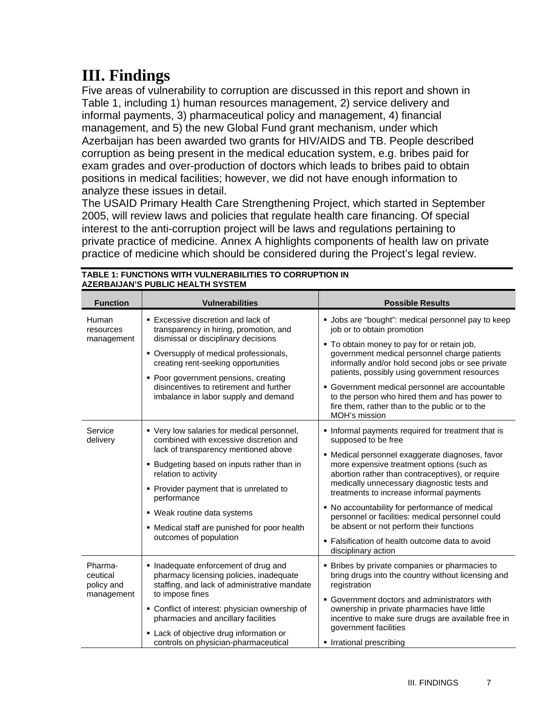## <span id="page-17-0"></span>**III. Findings**

Five areas of vulnerability to corruption are discussed in this report and shown in Table 1, including 1) human resources management, 2) service delivery and informal payments, 3) pharmaceutical policy and management, 4) financial management, and 5) the new Global Fund grant mechanism, under which Azerbaijan has been awarded two grants for HIV/AIDS and TB. People described corruption as being present in the medical education system, e.g. bribes paid for exam grades and over-production of doctors which leads to bribes paid to obtain positions in medical facilities; however, we did not have enough information to analyze these issues in detail.

The USAID Primary Health Care Strengthening Project, which started in September 2005, will review laws and policies that regulate health care financing. Of special interest to the anti-corruption project will be laws and regulations pertaining to private practice of medicine. Annex A highlights components of health law on private practice of medicine which should be considered during the Project's legal review.

| <b>Function</b>                                 | <b>Vulnerabilities</b>                                                                                                                                                                                                                                                                                                                                                | <b>Possible Results</b>                                                                                                                                                                                                                                                                                                                                                                                                                                                                                                                             |
|-------------------------------------------------|-----------------------------------------------------------------------------------------------------------------------------------------------------------------------------------------------------------------------------------------------------------------------------------------------------------------------------------------------------------------------|-----------------------------------------------------------------------------------------------------------------------------------------------------------------------------------------------------------------------------------------------------------------------------------------------------------------------------------------------------------------------------------------------------------------------------------------------------------------------------------------------------------------------------------------------------|
| Human<br>resources<br>management                | <b>Excessive discretion and lack of</b><br>transparency in hiring, promotion, and<br>dismissal or disciplinary decisions<br>• Oversupply of medical professionals,<br>creating rent-seeking opportunities<br>• Poor government pensions, creating<br>disincentives to retirement and further<br>imbalance in labor supply and demand                                  | • Jobs are "bought": medical personnel pay to keep<br>job or to obtain promotion<br>. To obtain money to pay for or retain job,<br>government medical personnel charge patients<br>informally and/or hold second jobs or see private<br>patients, possibly using government resources<br>• Government medical personnel are accountable<br>to the person who hired them and has power to<br>fire them, rather than to the public or to the<br>MOH's mission                                                                                         |
| Service<br>delivery                             | • Very low salaries for medical personnel,<br>combined with excessive discretion and<br>lack of transparency mentioned above<br>• Budgeting based on inputs rather than in<br>relation to activity<br>• Provider payment that is unrelated to<br>performance<br>■ Weak routine data systems<br>• Medical staff are punished for poor health<br>outcomes of population | • Informal payments required for treatment that is<br>supposed to be free<br>· Medical personnel exaggerate diagnoses, favor<br>more expensive treatment options (such as<br>abortion rather than contraceptives), or require<br>medically unnecessary diagnostic tests and<br>treatments to increase informal payments<br>• No accountability for performance of medical<br>personnel or facilities: medical personnel could<br>be absent or not perform their functions<br>• Falsification of health outcome data to avoid<br>disciplinary action |
| Pharma-<br>ceutical<br>policy and<br>management | • Inadequate enforcement of drug and<br>pharmacy licensing policies, inadequate<br>staffing, and lack of administrative mandate<br>to impose fines<br>• Conflict of interest: physician ownership of<br>pharmacies and ancillary facilities<br>• Lack of objective drug information or<br>controls on physician-pharmaceutical                                        | • Bribes by private companies or pharmacies to<br>bring drugs into the country without licensing and<br>registration<br>• Government doctors and administrators with<br>ownership in private pharmacies have little<br>incentive to make sure drugs are available free in<br>government facilities<br>Irrational prescribing                                                                                                                                                                                                                        |

#### **TABLE 1: FUNCTIONS WITH VULNERABILITIES TO CORRUPTION IN AZERBAIJAN'S PUBLIC HEALTH SYSTEM**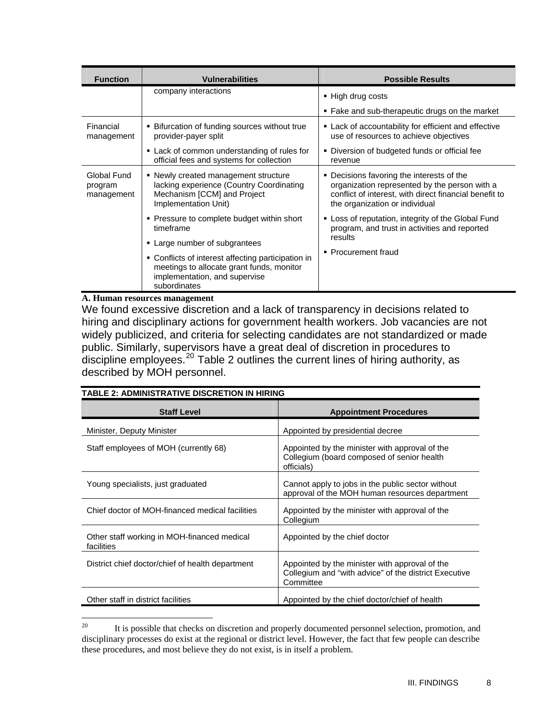<span id="page-18-0"></span>

| <b>Function</b>                      | <b>Vulnerabilities</b>                                                                                                                           | <b>Possible Results</b>                                                                                                                                                                |
|--------------------------------------|--------------------------------------------------------------------------------------------------------------------------------------------------|----------------------------------------------------------------------------------------------------------------------------------------------------------------------------------------|
|                                      | company interactions                                                                                                                             | ■ High drug costs                                                                                                                                                                      |
|                                      |                                                                                                                                                  | • Fake and sub-therapeutic drugs on the market                                                                                                                                         |
| Financial<br>management              | • Bifurcation of funding sources without true<br>provider-payer split                                                                            | • Lack of accountability for efficient and effective<br>use of resources to achieve objectives                                                                                         |
|                                      | • Lack of common understanding of rules for<br>official fees and systems for collection                                                          | • Diversion of budgeted funds or official fee<br>revenue                                                                                                                               |
| Global Fund<br>program<br>management | • Newly created management structure<br>lacking experience (Country Coordinating<br>Mechanism [CCM] and Project<br>Implementation Unit)          | • Decisions favoring the interests of the<br>organization represented by the person with a<br>conflict of interest, with direct financial benefit to<br>the organization or individual |
|                                      | • Pressure to complete budget within short<br>timeframe                                                                                          | • Loss of reputation, integrity of the Global Fund<br>program, and trust in activities and reported                                                                                    |
|                                      | • Large number of subgrantees                                                                                                                    | results                                                                                                                                                                                |
|                                      | • Conflicts of interest affecting participation in<br>meetings to allocate grant funds, monitor<br>implementation, and supervise<br>subordinates | • Procurement fraud                                                                                                                                                                    |

#### **A. Human resources management**

We found excessive discretion and a lack of transparency in decisions related to hiring and disciplinary actions for government health workers. Job vacancies are not widely publicized, and criteria for selecting candidates are not standardized or made public. Similarly, supervisors have a great deal of discretion in procedures to discipline employees.<sup>[20](#page-18-1)</sup> Table 2 outlines the current lines of hiring authority, as described by MOH personnel.

| <b>TABLE 2: ADMINISTRATIVE DISCRETION IN HIRING</b>       |                                                                                                                      |  |
|-----------------------------------------------------------|----------------------------------------------------------------------------------------------------------------------|--|
| <b>Staff Level</b>                                        | <b>Appointment Procedures</b>                                                                                        |  |
| Minister, Deputy Minister                                 | Appointed by presidential decree                                                                                     |  |
| Staff employees of MOH (currently 68)                     | Appointed by the minister with approval of the<br>Collegium (board composed of senior health<br>officials)           |  |
| Young specialists, just graduated                         | Cannot apply to jobs in the public sector without<br>approval of the MOH human resources department                  |  |
| Chief doctor of MOH-financed medical facilities           | Appointed by the minister with approval of the<br>Collegium                                                          |  |
| Other staff working in MOH-financed medical<br>facilities | Appointed by the chief doctor                                                                                        |  |
| District chief doctor/chief of health department          | Appointed by the minister with approval of the<br>Collegium and "with advice" of the district Executive<br>Committee |  |
| Other staff in district facilities                        | Appointed by the chief doctor/chief of health                                                                        |  |

<span id="page-18-1"></span> $20\,$ 20 It is possible that checks on discretion and properly documented personnel selection, promotion, and disciplinary processes do exist at the regional or district level. However, the fact that few people can describe these procedures, and most believe they do not exist, is in itself a problem.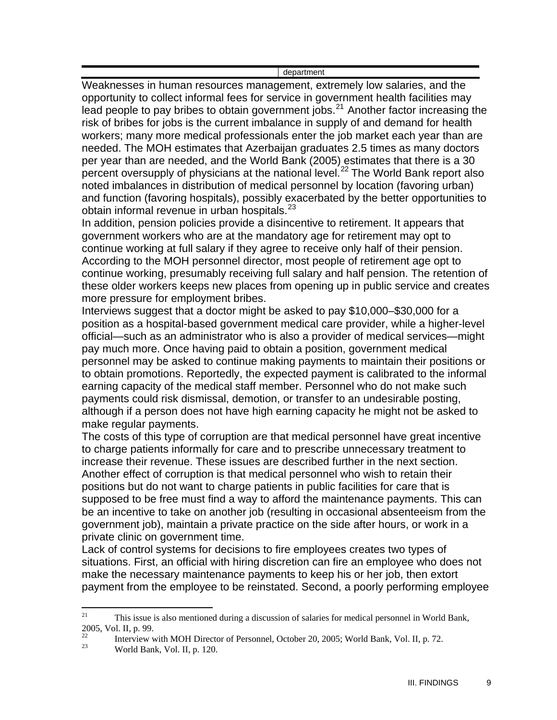department

Weaknesses in human resources management, extremely low salaries, and the opportunity to collect informal fees for service in government health facilities may lead people to pay bribes to obtain government  $\overline{obs}$ <sup>[21](#page-19-0)</sup> Another factor increasing the risk of bribes for jobs is the current imbalance in supply of and demand for health workers; many more medical professionals enter the job market each year than are needed. The MOH estimates that Azerbaijan graduates 2.5 times as many doctors per year than are needed, and the World Bank (2005) estimates that there is a 30 percent oversupply of physicians at the national level.<sup>[22](#page-19-1)</sup> The World Bank report also noted imbalances in distribution of medical personnel by location (favoring urban) and function (favoring hospitals), possibly exacerbated by the better opportunities to obtain informal revenue in urban hospitals.<sup>[23](#page-19-2)</sup>

In addition, pension policies provide a disincentive to retirement. It appears that government workers who are at the mandatory age for retirement may opt to continue working at full salary if they agree to receive only half of their pension. According to the MOH personnel director, most people of retirement age opt to continue working, presumably receiving full salary and half pension. The retention of these older workers keeps new places from opening up in public service and creates more pressure for employment bribes.

Interviews suggest that a doctor might be asked to pay \$10,000–\$30,000 for a position as a hospital-based government medical care provider, while a higher-level official—such as an administrator who is also a provider of medical services—might pay much more. Once having paid to obtain a position, government medical personnel may be asked to continue making payments to maintain their positions or to obtain promotions. Reportedly, the expected payment is calibrated to the informal earning capacity of the medical staff member. Personnel who do not make such payments could risk dismissal, demotion, or transfer to an undesirable posting, although if a person does not have high earning capacity he might not be asked to make regular payments.

The costs of this type of corruption are that medical personnel have great incentive to charge patients informally for care and to prescribe unnecessary treatment to increase their revenue. These issues are described further in the next section. Another effect of corruption is that medical personnel who wish to retain their positions but do not want to charge patients in public facilities for care that is supposed to be free must find a way to afford the maintenance payments. This can be an incentive to take on another job (resulting in occasional absenteeism from the government job), maintain a private practice on the side after hours, or work in a private clinic on government time.

Lack of control systems for decisions to fire employees creates two types of situations. First, an official with hiring discretion can fire an employee who does not make the necessary maintenance payments to keep his or her job, then extort payment from the employee to be reinstated. Second, a poorly performing employee

<span id="page-19-0"></span> $21$ 21 This issue is also mentioned during a discussion of salaries for medical personnel in World Bank, 2005, Vol. II, p. 99.

<span id="page-19-2"></span><span id="page-19-1"></span><sup>&</sup>lt;sup>22</sup> Interview with MOH Director of Personnel, October 20, 2005; World Bank, Vol. II, p. 72.

World Bank, Vol. II, p. 120.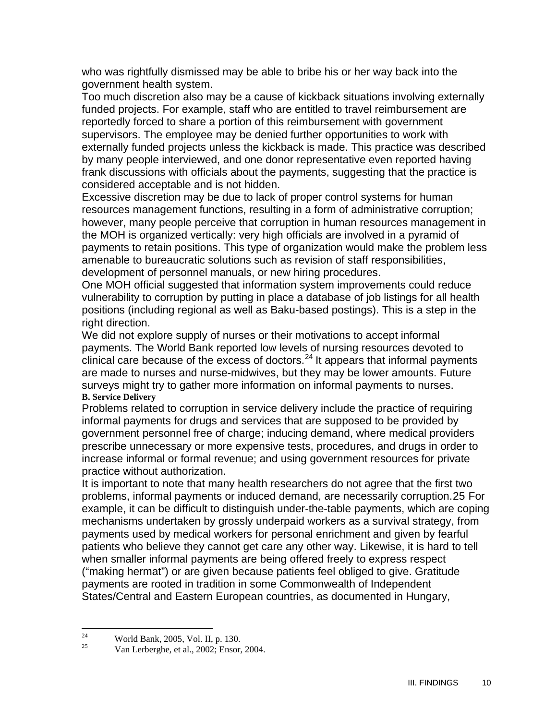<span id="page-20-0"></span>who was rightfully dismissed may be able to bribe his or her way back into the government health system.

Too much discretion also may be a cause of kickback situations involving externally funded projects. For example, staff who are entitled to travel reimbursement are reportedly forced to share a portion of this reimbursement with government supervisors. The employee may be denied further opportunities to work with externally funded projects unless the kickback is made. This practice was described by many people interviewed, and one donor representative even reported having frank discussions with officials about the payments, suggesting that the practice is considered acceptable and is not hidden.

Excessive discretion may be due to lack of proper control systems for human resources management functions, resulting in a form of administrative corruption; however, many people perceive that corruption in human resources management in the MOH is organized vertically: very high officials are involved in a pyramid of payments to retain positions. This type of organization would make the problem less amenable to bureaucratic solutions such as revision of staff responsibilities, development of personnel manuals, or new hiring procedures.

One MOH official suggested that information system improvements could reduce vulnerability to corruption by putting in place a database of job listings for all health positions (including regional as well as Baku-based postings). This is a step in the right direction.

We did not explore supply of nurses or their motivations to accept informal payments. The World Bank reported low levels of nursing resources devoted to clinical care because of the excess of doctors. $^{24}$  $^{24}$  $^{24}$  It appears that informal payments are made to nurses and nurse-midwives, but they may be lower amounts. Future surveys might try to gather more information on informal payments to nurses. **B. Service Delivery** 

Problems related to corruption in service delivery include the practice of requiring informal payments for drugs and services that are supposed to be provided by government personnel free of charge; inducing demand, where medical providers prescribe unnecessary or more expensive tests, procedures, and drugs in order to increase informal or formal revenue; and using government resources for private practice without authorization.

It is important to note that many health researchers do not agree that the first two problems, informal payments or induced demand, are necessarily corruption.[25](#page-20-2) For example, it can be difficult to distinguish under-the-table payments, which are coping mechanisms undertaken by grossly underpaid workers as a survival strategy, from payments used by medical workers for personal enrichment and given by fearful patients who believe they cannot get care any other way. Likewise, it is hard to tell when smaller informal payments are being offered freely to express respect ("making hermat") or are given because patients feel obliged to give. Gratitude payments are rooted in tradition in some Commonwealth of Independent States/Central and Eastern European countries, as documented in Hungary,

<span id="page-20-1"></span><sup>24</sup> <sup>24</sup> World Bank, 2005, Vol. II, p. 130.<br><sup>25</sup> Men Lethershe, et al. 2002; Freen

<span id="page-20-2"></span><sup>25</sup> Van Lerberghe, et al., 2002; Ensor, 2004.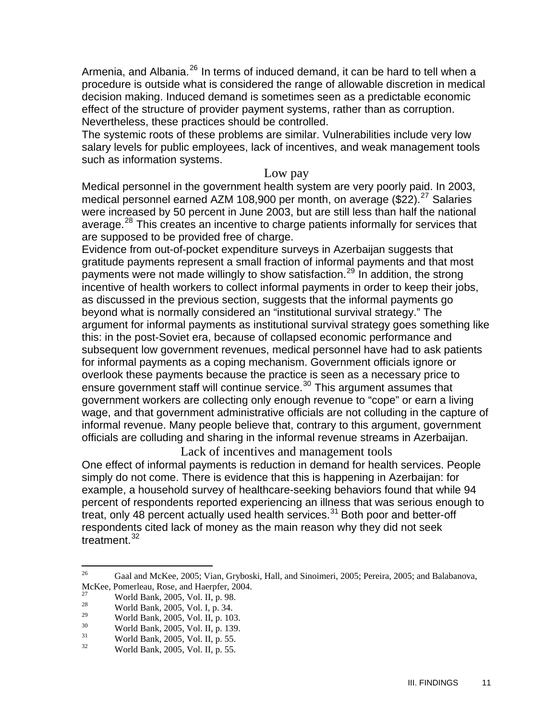<span id="page-21-0"></span>Armenia, and Albania.<sup>[26](#page-21-1)</sup> In terms of induced demand, it can be hard to tell when a procedure is outside what is considered the range of allowable discretion in medical decision making. Induced demand is sometimes seen as a predictable economic effect of the structure of provider payment systems, rather than as corruption. Nevertheless, these practices should be controlled.

The systemic roots of these problems are similar. Vulnerabilities include very low salary levels for public employees, lack of incentives, and weak management tools such as information systems.

#### Low pay

Medical personnel in the government health system are very poorly paid. In 2003, medical personnel earned AZM 108,900 per month, on average (\$22).<sup>[27](#page-21-2)</sup> Salaries were increased by 50 percent in June 2003, but are still less than half the national average.<sup>[28](#page-21-3)</sup> This creates an incentive to charge patients informally for services that are supposed to be provided free of charge.

Evidence from out-of-pocket expenditure surveys in Azerbaijan suggests that gratitude payments represent a small fraction of informal payments and that most payments were not made willingly to show satisfaction.<sup>[29](#page-21-4)</sup> In addition, the strong incentive of health workers to collect informal payments in order to keep their jobs, as discussed in the previous section, suggests that the informal payments go beyond what is normally considered an "institutional survival strategy." The argument for informal payments as institutional survival strategy goes something like this: in the post-Soviet era, because of collapsed economic performance and subsequent low government revenues, medical personnel have had to ask patients for informal payments as a coping mechanism. Government officials ignore or overlook these payments because the practice is seen as a necessary price to ensure government staff will continue service.<sup>[30](#page-21-5)</sup> This argument assumes that government workers are collecting only enough revenue to "cope" or earn a living wage, and that government administrative officials are not colluding in the capture of informal revenue. Many people believe that, contrary to this argument, government officials are colluding and sharing in the informal revenue streams in Azerbaijan.

Lack of incentives and management tools

One effect of informal payments is reduction in demand for health services. People simply do not come. There is evidence that this is happening in Azerbaijan: for example, a household survey of healthcare-seeking behaviors found that while 94 percent of respondents reported experiencing an illness that was serious enough to treat, only 48 percent actually used health services.<sup>[31](#page-21-6)</sup> Both poor and better-off respondents cited lack of money as the main reason why they did not seek treatment.<sup>[32](#page-21-7)</sup>

<span id="page-21-1"></span><sup>26</sup> 26 Gaal and McKee, 2005; Vian, Gryboski, Hall, and Sinoimeri, 2005; Pereira, 2005; and Balabanova, McKee, Pomerleau, Rose, and Haerpfer, 2004.

<span id="page-21-2"></span> $\frac{27}{28}$  World Bank, 2005, Vol. II, p. 98.

<span id="page-21-3"></span><sup>&</sup>lt;sup>28</sup> World Bank, 2005, Vol. I, p. 34.<br><sup>29</sup> World Bank, 2005, Vol. II, p. 10<sup>2</sup>

<span id="page-21-4"></span><sup>&</sup>lt;sup>29</sup> World Bank, 2005, Vol. II, p. 103.

<span id="page-21-5"></span> $\frac{30}{31}$  World Bank, 2005, Vol. II, p. 139.

<span id="page-21-6"></span> $\frac{31}{32}$  World Bank, 2005, Vol. II, p. 55.

<span id="page-21-7"></span><sup>32</sup> World Bank, 2005, Vol. II, p. 55.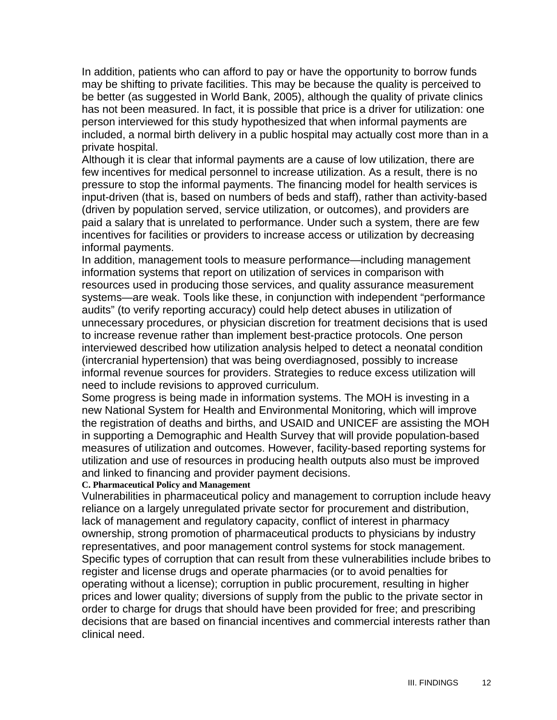<span id="page-22-0"></span>In addition, patients who can afford to pay or have the opportunity to borrow funds may be shifting to private facilities. This may be because the quality is perceived to be better (as suggested in World Bank, 2005), although the quality of private clinics has not been measured. In fact, it is possible that price is a driver for utilization: one person interviewed for this study hypothesized that when informal payments are included, a normal birth delivery in a public hospital may actually cost more than in a private hospital.

Although it is clear that informal payments are a cause of low utilization, there are few incentives for medical personnel to increase utilization. As a result, there is no pressure to stop the informal payments. The financing model for health services is input-driven (that is, based on numbers of beds and staff), rather than activity-based (driven by population served, service utilization, or outcomes), and providers are paid a salary that is unrelated to performance. Under such a system, there are few incentives for facilities or providers to increase access or utilization by decreasing informal payments.

In addition, management tools to measure performance—including management information systems that report on utilization of services in comparison with resources used in producing those services, and quality assurance measurement systems—are weak. Tools like these, in conjunction with independent "performance audits" (to verify reporting accuracy) could help detect abuses in utilization of unnecessary procedures, or physician discretion for treatment decisions that is used to increase revenue rather than implement best-practice protocols. One person interviewed described how utilization analysis helped to detect a neonatal condition (intercranial hypertension) that was being overdiagnosed, possibly to increase informal revenue sources for providers. Strategies to reduce excess utilization will need to include revisions to approved curriculum.

Some progress is being made in information systems. The MOH is investing in a new National System for Health and Environmental Monitoring, which will improve the registration of deaths and births, and USAID and UNICEF are assisting the MOH in supporting a Demographic and Health Survey that will provide population-based measures of utilization and outcomes. However, facility-based reporting systems for utilization and use of resources in producing health outputs also must be improved and linked to financing and provider payment decisions.

#### **C. Pharmaceutical Policy and Management**

Vulnerabilities in pharmaceutical policy and management to corruption include heavy reliance on a largely unregulated private sector for procurement and distribution, lack of management and regulatory capacity, conflict of interest in pharmacy ownership, strong promotion of pharmaceutical products to physicians by industry representatives, and poor management control systems for stock management. Specific types of corruption that can result from these vulnerabilities include bribes to register and license drugs and operate pharmacies (or to avoid penalties for operating without a license); corruption in public procurement, resulting in higher prices and lower quality; diversions of supply from the public to the private sector in order to charge for drugs that should have been provided for free; and prescribing decisions that are based on financial incentives and commercial interests rather than clinical need.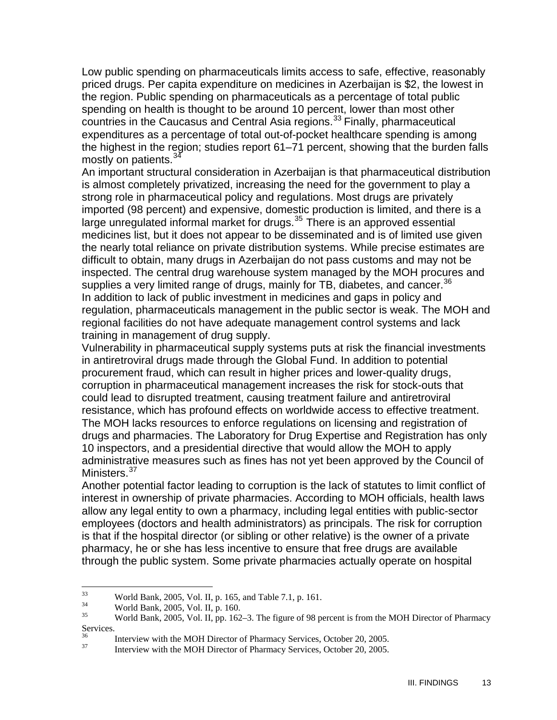Low public spending on pharmaceuticals limits access to safe, effective, reasonably priced drugs. Per capita expenditure on medicines in Azerbaijan is \$2, the lowest in the region. Public spending on pharmaceuticals as a percentage of total public spending on health is thought to be around 10 percent, lower than most other  $\frac{1}{2}$  countries in the Caucasus and Central Asia regions.<sup>[33](#page-23-0)</sup> Finally, pharmaceutical expenditures as a percentage of total out-of-pocket healthcare spending is among the highest in the region; studies report 61–71 percent, showing that the burden falls mostly on patients.<sup>3</sup>

An important structural consideration in Azerbaijan is that pharmaceutical distribution is almost completely privatized, increasing the need for the government to play a strong role in pharmaceutical policy and regulations. Most drugs are privately imported (98 percent) and expensive, domestic production is limited, and there is a large unregulated informal market for drugs. $35$  There is an approved essential medicines list, but it does not appear to be disseminated and is of limited use given the nearly total reliance on private distribution systems. While precise estimates are difficult to obtain, many drugs in Azerbaijan do not pass customs and may not be inspected. The central drug warehouse system managed by the MOH procures and supplies a very limited range of drugs, mainly for TB, diabetes, and cancer.<sup>[36](#page-23-3)</sup> In addition to lack of public investment in medicines and gaps in policy and regulation, pharmaceuticals management in the public sector is weak. The MOH and regional facilities do not have adequate management control systems and lack training in management of drug supply.

Vulnerability in pharmaceutical supply systems puts at risk the financial investments in antiretroviral drugs made through the Global Fund. In addition to potential procurement fraud, which can result in higher prices and lower-quality drugs, corruption in pharmaceutical management increases the risk for stock-outs that could lead to disrupted treatment, causing treatment failure and antiretroviral resistance, which has profound effects on worldwide access to effective treatment. The MOH lacks resources to enforce regulations on licensing and registration of drugs and pharmacies. The Laboratory for Drug Expertise and Registration has only 10 inspectors, and a presidential directive that would allow the MOH to apply administrative measures such as fines has not yet been approved by the Council of Ministers.<sup>[37](#page-23-4)</sup>

Another potential factor leading to corruption is the lack of statutes to limit conflict of interest in ownership of private pharmacies. According to MOH officials, health laws allow any legal entity to own a pharmacy, including legal entities with public-sector employees (doctors and health administrators) as principals. The risk for corruption is that if the hospital director (or sibling or other relative) is the owner of a private pharmacy, he or she has less incentive to ensure that free drugs are available through the public system. Some private pharmacies actually operate on hospital

<span id="page-23-0"></span> $33<sup>°</sup>$  $\frac{33}{34}$  World Bank, 2005, Vol. II, p. 165, and Table 7.1, p. 161.<br>World Bank, 2005, Vol. II, p. 160.

<span id="page-23-1"></span> $\frac{34}{35}$  World Bank, 2005, Vol. II, p. 160.

<span id="page-23-2"></span><sup>35</sup> World Bank, 2005, Vol. II, pp. 162–3. The figure of 98 percent is from the MOH Director of Pharmacy Services.

<span id="page-23-4"></span><span id="page-23-3"></span>

<sup>&</sup>lt;sup>36</sup> Interview with the MOH Director of Pharmacy Services, October 20, 2005.<br><sup>37</sup> Interview with the MOH Director of Pharmacy Services, October 20, 2005.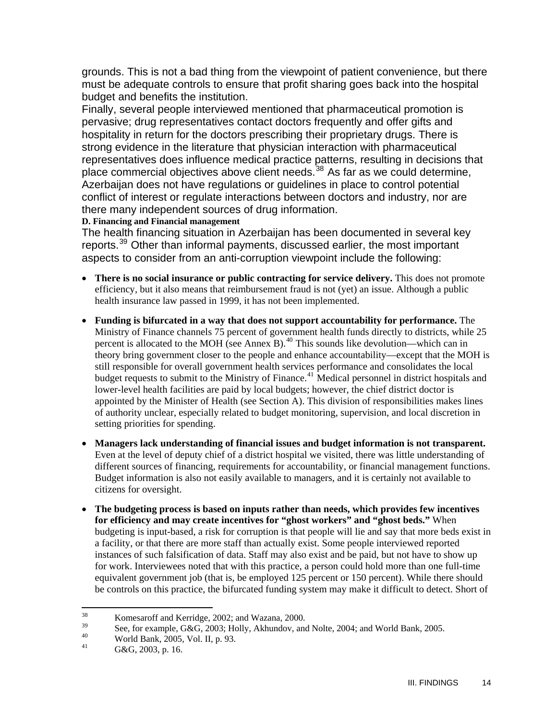<span id="page-24-0"></span>grounds. This is not a bad thing from the viewpoint of patient convenience, but there must be adequate controls to ensure that profit sharing goes back into the hospital budget and benefits the institution.

Finally, several people interviewed mentioned that pharmaceutical promotion is pervasive; drug representatives contact doctors frequently and offer gifts and hospitality in return for the doctors prescribing their proprietary drugs. There is strong evidence in the literature that physician interaction with pharmaceutical representatives does influence medical practice patterns, resulting in decisions that place commercial objectives above client needs.<sup>[38](#page-24-1)</sup> As far as we could determine, Azerbaijan does not have regulations or guidelines in place to control potential conflict of interest or regulate interactions between doctors and industry, nor are there many independent sources of drug information. **D. Financing and Financial management** 

The health financing situation in Azerbaijan has been documented in several key reports.[39](#page-24-2) Other than informal payments, discussed earlier, the most important aspects to consider from an anti-corruption viewpoint include the following:

- **There is no social insurance or public contracting for service delivery.** This does not promote efficiency, but it also means that reimbursement fraud is not (yet) an issue. Although a public health insurance law passed in 1999, it has not been implemented.
- **Funding is bifurcated in a way that does not support accountability for performance.** The Ministry of Finance channels 75 percent of government health funds directly to districts, while 25 percent is allocated to the MOH (see Annex B).<sup>[40](#page-24-3)</sup> This sounds like devolution—which can in theory bring government closer to the people and enhance accountability—except that the MOH is still responsible for overall government health services performance and consolidates the local budget requests to submit to the Ministry of Finance.<sup>[41](#page-24-4)</sup> Medical personnel in district hospitals and lower-level health facilities are paid by local budgets; however, the chief district doctor is appointed by the Minister of Health (see Section A). This division of responsibilities makes lines of authority unclear, especially related to budget monitoring, supervision, and local discretion in setting priorities for spending.
- **Managers lack understanding of financial issues and budget information is not transparent.** Even at the level of deputy chief of a district hospital we visited, there was little understanding of different sources of financing, requirements for accountability, or financial management functions. Budget information is also not easily available to managers, and it is certainly not available to citizens for oversight.
- **The budgeting process is based on inputs rather than needs, which provides few incentives for efficiency and may create incentives for "ghost workers" and "ghost beds."** When budgeting is input-based, a risk for corruption is that people will lie and say that more beds exist in a facility, or that there are more staff than actually exist. Some people interviewed reported instances of such falsification of data. Staff may also exist and be paid, but not have to show up for work. Interviewees noted that with this practice, a person could hold more than one full-time equivalent government job (that is, be employed 125 percent or 150 percent). While there should be controls on this practice, the bifurcated funding system may make it difficult to detect. Short of

<span id="page-24-1"></span><sup>38</sup>  $\frac{38}{39}$  Komesaroff and Kerridge, 2002; and Wazana, 2000.

<span id="page-24-2"></span><sup>&</sup>lt;sup>39</sup> See, for example, G&G, 2003; Holly, Akhundov, and Nolte, 2004; and World Bank, 2005.

<span id="page-24-3"></span><sup>40</sup> World Bank, 2005, Vol. II, p. 93.

<span id="page-24-4"></span>G&G, 2003, p. 16.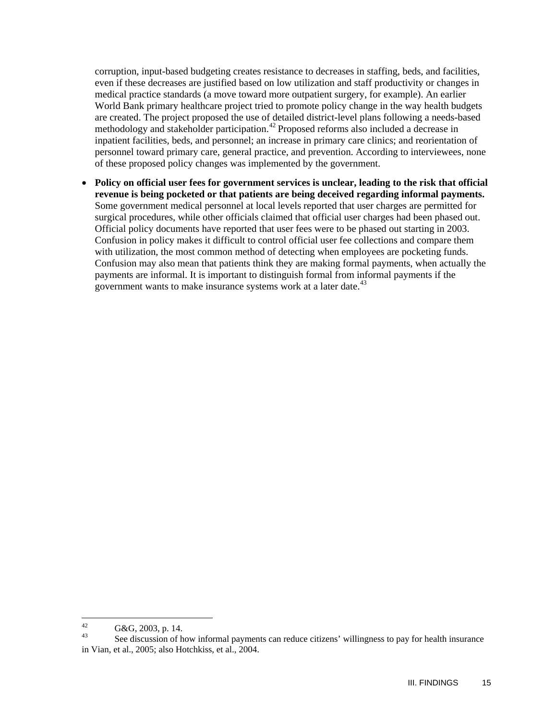corruption, input-based budgeting creates resistance to decreases in staffing, beds, and facilities, even if these decreases are justified based on low utilization and staff productivity or changes in medical practice standards (a move toward more outpatient surgery, for example). An earlier World Bank primary healthcare project tried to promote policy change in the way health budgets are created. The project proposed the use of detailed district-level plans following a needs-based methodology and stakeholder participation.<sup>42</sup> Proposed reforms also included a decrease in inpatient facilities, beds, and personnel; an increase in primary care clinics; and reorientation of personnel toward primary care, general practice, and prevention. According to interviewees, none of these proposed policy changes was implemented by the government.

• **Policy on official user fees for government services is unclear, leading to the risk that official revenue is being pocketed or that patients are being deceived regarding informal payments.** Some government medical personnel at local levels reported that user charges are permitted for surgical procedures, while other officials claimed that official user charges had been phased out. Official policy documents have reported that user fees were to be phased out starting in 2003. Confusion in policy makes it difficult to control official user fee collections and compare them with utilization, the most common method of detecting when employees are pocketing funds. Confusion may also mean that patients think they are making formal payments, when actually the payments are informal. It is important to distinguish formal from informal payments if the government wants to make insurance systems work at a later date.<sup>[43](#page-25-0)</sup>

 $42$ <sup>42</sup> G&G, 2003, p. 14.

<span id="page-25-0"></span>See discussion of how informal payments can reduce citizens' willingness to pay for health insurance in Vian, et al., 2005; also Hotchkiss, et al., 2004.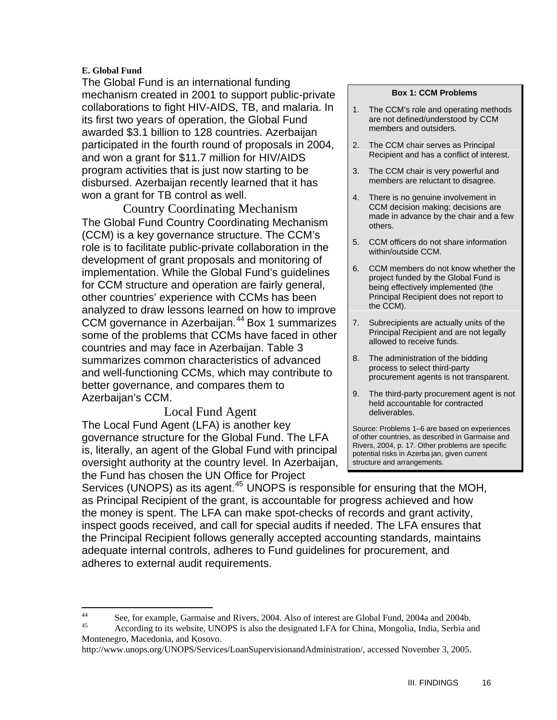#### <span id="page-26-0"></span>**E. Global Fund**

The Global Fund is an international funding mechanism created in 2001 to support public-private collaborations to fight HIV-AIDS, TB, and malaria. In its first two years of operation, the Global Fund awarded \$3.1 billion to 128 countries. Azerbaijan participated in the fourth round of proposals in 2004, and won a grant for \$11.7 million for HIV/AIDS program activities that is just now starting to be disbursed. Azerbaijan recently learned that it has won a grant for TB control as well.

Country Coordinating Mechanism The Global Fund Country Coordinating Mechanism (CCM) is a key governance structure. The CCM's role is to facilitate public-private collaboration in the development of grant proposals and monitoring of implementation. While the Global Fund's guidelines for CCM structure and operation are fairly general, other countries' experience with CCMs has been analyzed to draw lessons learned on how to improve CCM governance in Azerbaijan.[44](#page-26-1) Box 1 summarizes some of the problems that CCMs have faced in other countries and may face in Azerbaijan. Table 3 summarizes common characteristics of advanced and well-functioning CCMs, which may contribute to better governance, and compares them to Azerbaijan's CCM.

Local Fund Agent The Local Fund Agent (LFA) is another key governance structure for the Global Fund. The LFA is, literally, an agent of the Global Fund with principal oversight authority at the country level. In Azerbaijan, the Fund has chosen the UN Office for Project

#### **Box 1: CCM Problems**

- 1. The CCM's role and operating methods are not defined/understood by CCM members and outsiders.
- 2. The CCM chair serves as Principal Recipient and has a conflict of interest.
- 3. The CCM chair is very powerful and members are reluctant to disagree.
- 4. There is no genuine involvement in CCM decision making; decisions are made in advance by the chair and a few others.
- 5. CCM officers do not share information within/outside CCM.
- 6. CCM members do not know whether the project funded by the Global Fund is being effectively implemented (the Principal Recipient does not report to the CCM).
- 7. Subrecipients are actually units of the Principal Recipient and are not legally allowed to receive funds.
- 8. The administration of the bidding process to select third-party procurement agents is not transparent.
- 9. The third-party procurement agent is not held accountable for contracted deliverables.

Source: Problems 1–6 are based on experiences of other countries, as described in Garmaise and Rivers, 2004, p. 17. Other problems are specific potential risks in Azerba jan, given current structure and arrangements.

Services (UNOPS) as its agent.<sup>[45](#page-26-2)</sup> UNOPS is responsible for ensuring that the MOH, as Principal Recipient of the grant, is accountable for progress achieved and how the money is spent. The LFA can make spot-checks of records and grant activity, inspect goods received, and call for special audits if needed. The LFA ensures that the Principal Recipient follows generally accepted accounting standards, maintains adequate internal controls, adheres to Fund guidelines for procurement, and adheres to external audit requirements.

<span id="page-26-1"></span> $44$ <sup>44</sup> See, for example, Garmaise and Rivers, 2004. Also of interest are Global Fund, 2004a and 2004b.

<span id="page-26-2"></span>According to its website, UNOPS is also the designated LFA for China, Mongolia, India, Serbia and Montenegro, Macedonia, and Kosovo.

http://www.unops.org/UNOPS/Services/LoanSupervisionandAdministration/, accessed November 3, 2005.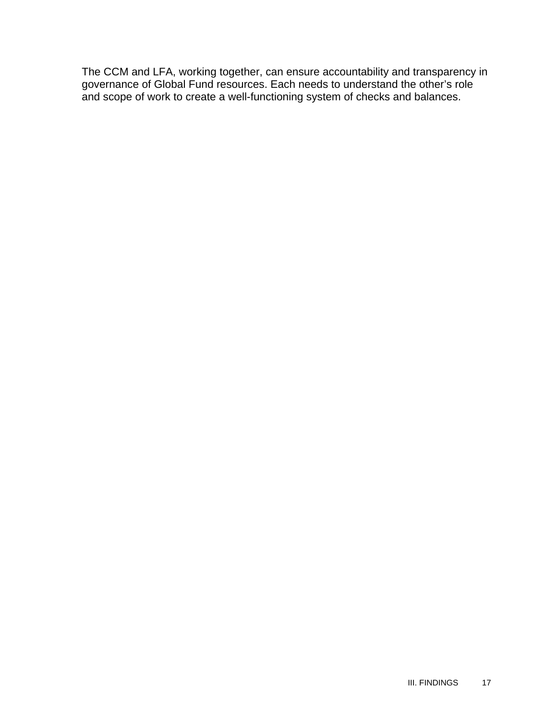The CCM and LFA, working together, can ensure accountability and transparency in governance of Global Fund resources. Each needs to understand the other's role and scope of work to create a well-functioning system of checks and balances.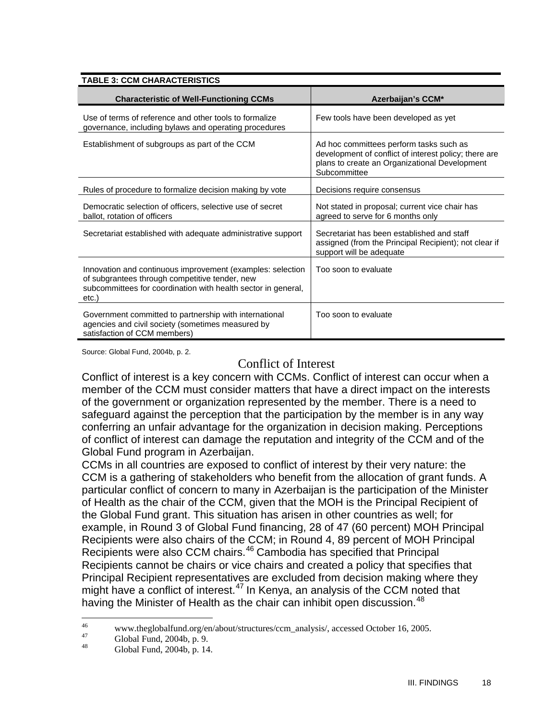| TADLE 3: UUM UHARAUTERISTIUS                                                                                                                                                           |                                                                                                                                                                   |  |
|----------------------------------------------------------------------------------------------------------------------------------------------------------------------------------------|-------------------------------------------------------------------------------------------------------------------------------------------------------------------|--|
| <b>Characteristic of Well-Functioning CCMs</b>                                                                                                                                         | Azerbaijan's CCM*                                                                                                                                                 |  |
| Use of terms of reference and other tools to formalize<br>governance, including bylaws and operating procedures                                                                        | Few tools have been developed as yet                                                                                                                              |  |
| Establishment of subgroups as part of the CCM                                                                                                                                          | Ad hoc committees perform tasks such as<br>development of conflict of interest policy; there are<br>plans to create an Organizational Development<br>Subcommittee |  |
| Rules of procedure to formalize decision making by vote                                                                                                                                | Decisions require consensus                                                                                                                                       |  |
| Democratic selection of officers, selective use of secret<br>ballot, rotation of officers                                                                                              | Not stated in proposal; current vice chair has<br>agreed to serve for 6 months only                                                                               |  |
| Secretariat established with adequate administrative support                                                                                                                           | Secretariat has been established and staff<br>assigned (from the Principal Recipient); not clear if<br>support will be adequate                                   |  |
| Innovation and continuous improvement (examples: selection<br>of subgrantees through competitive tender, new<br>subcommittees for coordination with health sector in general,<br>etc.) | Too soon to evaluate                                                                                                                                              |  |
| Government committed to partnership with international<br>agencies and civil society (sometimes measured by<br>satisfaction of CCM members)                                            | Too soon to evaluate                                                                                                                                              |  |

#### <span id="page-28-0"></span>**TABLE 3: CCM CHARACTERISTICS**

Source: Global Fund, 2004b, p. 2.

#### Conflict of Interest

Conflict of interest is a key concern with CCMs. Conflict of interest can occur when a member of the CCM must consider matters that have a direct impact on the interests of the government or organization represented by the member. There is a need to safeguard against the perception that the participation by the member is in any way conferring an unfair advantage for the organization in decision making. Perceptions of conflict of interest can damage the reputation and integrity of the CCM and of the Global Fund program in Azerbaijan.

CCMs in all countries are exposed to conflict of interest by their very nature: the CCM is a gathering of stakeholders who benefit from the allocation of grant funds. A particular conflict of concern to many in Azerbaijan is the participation of the Minister of Health as the chair of the CCM, given that the MOH is the Principal Recipient of the Global Fund grant. This situation has arisen in other countries as well; for example, in Round 3 of Global Fund financing, 28 of 47 (60 percent) MOH Principal Recipients were also chairs of the CCM; in Round 4, 89 percent of MOH Principal Recipients were also CCM chairs.[46](#page-28-1) Cambodia has specified that Principal Recipients cannot be chairs or vice chairs and created a policy that specifies that Principal Recipient representatives are excluded from decision making where they might have a conflict of interest.<sup>[47](#page-28-2)</sup> In Kenya, an analysis of the CCM noted that having the Minister of Health as the chair can inhibit open discussion.<sup>[48](#page-28-3)</sup>

<span id="page-28-1"></span> $46 \overline{6}$ www.theglobalfund.org/en/about/structures/ccm\_analysis/, accessed October 16, 2005.<br>
Global Fund, 2004b, p. 9.<br>  $\frac{48}{100}$ 

<span id="page-28-2"></span>

<span id="page-28-3"></span>Global Fund, 2004b, p. 14.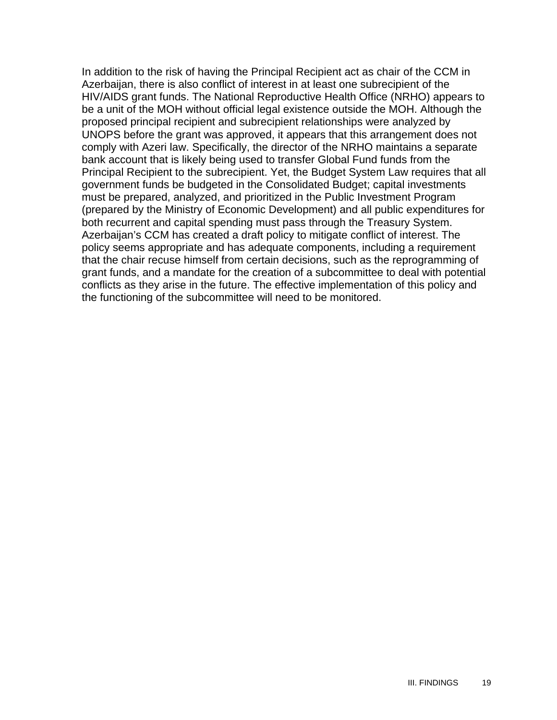In addition to the risk of having the Principal Recipient act as chair of the CCM in Azerbaijan, there is also conflict of interest in at least one subrecipient of the HIV/AIDS grant funds. The National Reproductive Health Office (NRHO) appears to be a unit of the MOH without official legal existence outside the MOH. Although the proposed principal recipient and subrecipient relationships were analyzed by UNOPS before the grant was approved, it appears that this arrangement does not comply with Azeri law. Specifically, the director of the NRHO maintains a separate bank account that is likely being used to transfer Global Fund funds from the Principal Recipient to the subrecipient. Yet, the Budget System Law requires that all government funds be budgeted in the Consolidated Budget; capital investments must be prepared, analyzed, and prioritized in the Public Investment Program (prepared by the Ministry of Economic Development) and all public expenditures for both recurrent and capital spending must pass through the Treasury System. Azerbaijan's CCM has created a draft policy to mitigate conflict of interest. The policy seems appropriate and has adequate components, including a requirement that the chair recuse himself from certain decisions, such as the reprogramming of grant funds, and a mandate for the creation of a subcommittee to deal with potential conflicts as they arise in the future. The effective implementation of this policy and the functioning of the subcommittee will need to be monitored.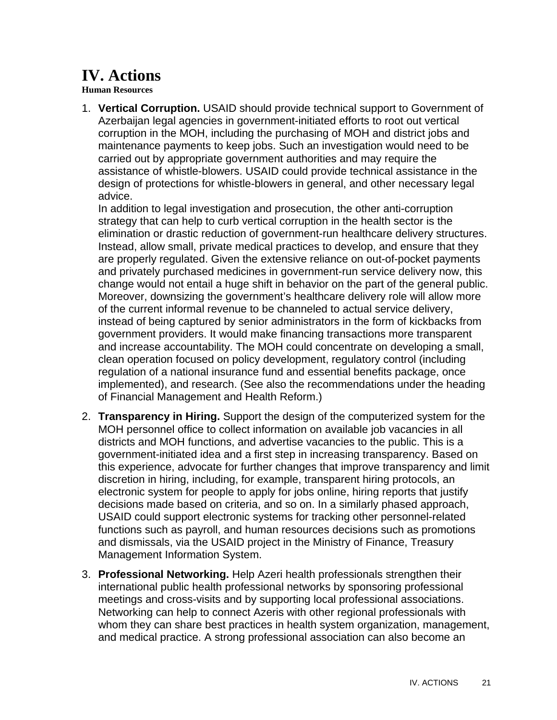## <span id="page-31-0"></span>**IV. Actions**

**Human Resources** 

1. **Vertical Corruption.** USAID should provide technical support to Government of Azerbaijan legal agencies in government-initiated efforts to root out vertical corruption in the MOH, including the purchasing of MOH and district jobs and maintenance payments to keep jobs. Such an investigation would need to be carried out by appropriate government authorities and may require the assistance of whistle-blowers. USAID could provide technical assistance in the design of protections for whistle-blowers in general, and other necessary legal advice.

In addition to legal investigation and prosecution, the other anti-corruption strategy that can help to curb vertical corruption in the health sector is the elimination or drastic reduction of government-run healthcare delivery structures. Instead, allow small, private medical practices to develop, and ensure that they are properly regulated. Given the extensive reliance on out-of-pocket payments and privately purchased medicines in government-run service delivery now, this change would not entail a huge shift in behavior on the part of the general public. Moreover, downsizing the government's healthcare delivery role will allow more of the current informal revenue to be channeled to actual service delivery, instead of being captured by senior administrators in the form of kickbacks from government providers. It would make financing transactions more transparent and increase accountability. The MOH could concentrate on developing a small, clean operation focused on policy development, regulatory control (including regulation of a national insurance fund and essential benefits package, once implemented), and research. (See also the recommendations under the heading of Financial Management and Health Reform.)

- 2. **Transparency in Hiring.** Support the design of the computerized system for the MOH personnel office to collect information on available job vacancies in all districts and MOH functions, and advertise vacancies to the public. This is a government-initiated idea and a first step in increasing transparency. Based on this experience, advocate for further changes that improve transparency and limit discretion in hiring, including, for example, transparent hiring protocols, an electronic system for people to apply for jobs online, hiring reports that justify decisions made based on criteria, and so on. In a similarly phased approach, USAID could support electronic systems for tracking other personnel-related functions such as payroll, and human resources decisions such as promotions and dismissals, via the USAID project in the Ministry of Finance, Treasury Management Information System.
- 3. **Professional Networking.** Help Azeri health professionals strengthen their international public health professional networks by sponsoring professional meetings and cross-visits and by supporting local professional associations. Networking can help to connect Azeris with other regional professionals with whom they can share best practices in health system organization, management, and medical practice. A strong professional association can also become an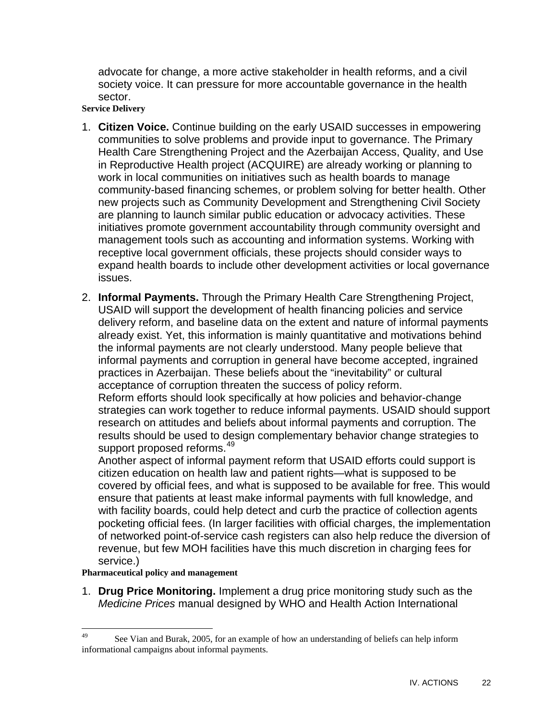<span id="page-32-0"></span>advocate for change, a more active stakeholder in health reforms, and a civil society voice. It can pressure for more accountable governance in the health sector.

#### **Service Delivery**

- 1. **Citizen Voice.** Continue building on the early USAID successes in empowering communities to solve problems and provide input to governance. The Primary Health Care Strengthening Project and the Azerbaijan Access, Quality, and Use in Reproductive Health project (ACQUIRE) are already working or planning to work in local communities on initiatives such as health boards to manage community-based financing schemes, or problem solving for better health. Other new projects such as Community Development and Strengthening Civil Society are planning to launch similar public education or advocacy activities. These initiatives promote government accountability through community oversight and management tools such as accounting and information systems. Working with receptive local government officials, these projects should consider ways to expand health boards to include other development activities or local governance issues.
- 2. **Informal Payments.** Through the Primary Health Care Strengthening Project, USAID will support the development of health financing policies and service delivery reform, and baseline data on the extent and nature of informal payments already exist. Yet, this information is mainly quantitative and motivations behind the informal payments are not clearly understood. Many people believe that informal payments and corruption in general have become accepted, ingrained practices in Azerbaijan. These beliefs about the "inevitability" or cultural acceptance of corruption threaten the success of policy reform. Reform efforts should look specifically at how policies and behavior-change strategies can work together to reduce informal payments. USAID should support research on attitudes and beliefs about informal payments and corruption. The results should be used to design complementary behavior change strategies to support proposed reforms.<sup>[49](#page-32-1)</sup>

Another aspect of informal payment reform that USAID efforts could support is citizen education on health law and patient rights—what is supposed to be covered by official fees, and what is supposed to be available for free. This would ensure that patients at least make informal payments with full knowledge, and with facility boards, could help detect and curb the practice of collection agents pocketing official fees. (In larger facilities with official charges, the implementation of networked point-of-service cash registers can also help reduce the diversion of revenue, but few MOH facilities have this much discretion in charging fees for service.)

#### **Pharmaceutical policy and management**

1. **Drug Price Monitoring.** Implement a drug price monitoring study such as the *Medicine Prices* manual designed by WHO and Health Action International

<span id="page-32-1"></span><sup>49</sup> See Vian and Burak, 2005, for an example of how an understanding of beliefs can help inform informational campaigns about informal payments.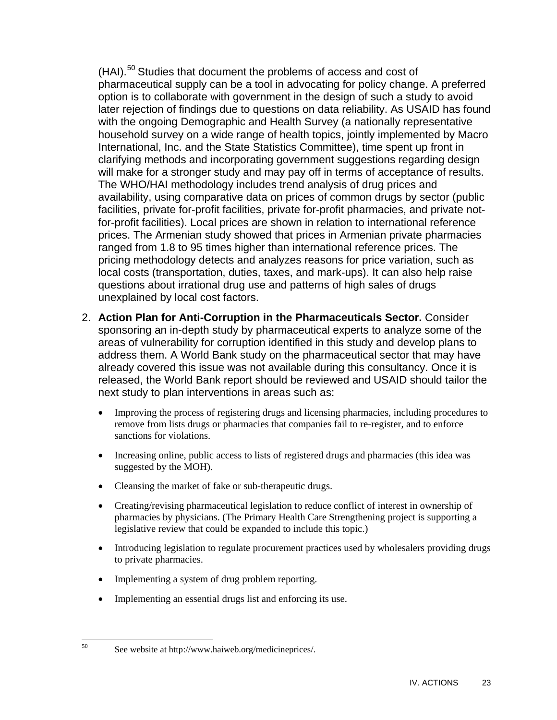(HAI).<sup>50</sup> Studies that document the problems of access and cost of pharmaceutical supply can be a tool in advocating for policy change. A preferred option is to collaborate with government in the design of such a study to avoid later rejection of findings due to questions on data reliability. As USAID has found with the ongoing Demographic and Health Survey (a nationally representative household survey on a wide range of health topics, jointly implemented by Macro International, Inc. and the State Statistics Committee), time spent up front in clarifying methods and incorporating government suggestions regarding design will make for a stronger study and may pay off in terms of acceptance of results. The WHO/HAI methodology includes trend analysis of drug prices and availability, using comparative data on prices of common drugs by sector (public facilities, private for-profit facilities, private for-profit pharmacies, and private notfor-profit facilities). Local prices are shown in relation to international reference prices. The Armenian study showed that prices in Armenian private pharmacies ranged from 1.8 to 95 times higher than international reference prices. The pricing methodology detects and analyzes reasons for price variation, such as local costs (transportation, duties, taxes, and mark-ups). It can also help raise questions about irrational drug use and patterns of high sales of drugs unexplained by local cost factors.

- 2. **Action Plan for Anti-Corruption in the Pharmaceuticals Sector.** Consider sponsoring an in-depth study by pharmaceutical experts to analyze some of the areas of vulnerability for corruption identified in this study and develop plans to address them. A World Bank study on the pharmaceutical sector that may have already covered this issue was not available during this consultancy. Once it is released, the World Bank report should be reviewed and USAID should tailor the next study to plan interventions in areas such as:
	- Improving the process of registering drugs and licensing pharmacies, including procedures to remove from lists drugs or pharmacies that companies fail to re-register, and to enforce sanctions for violations.
	- Increasing online, public access to lists of registered drugs and pharmacies (this idea was suggested by the MOH).
	- Cleansing the market of fake or sub-therapeutic drugs.
	- Creating/revising pharmaceutical legislation to reduce conflict of interest in ownership of pharmacies by physicians. (The Primary Health Care Strengthening project is supporting a legislative review that could be expanded to include this topic.)
	- Introducing legislation to regulate procurement practices used by wholesalers providing drugs to private pharmacies.
	- Implementing a system of drug problem reporting.
	- Implementing an essential drugs list and enforcing its use.

50

See website at [http://www.haiweb.org/medicineprices/.](http://www.haiweb.org/medicineprices/)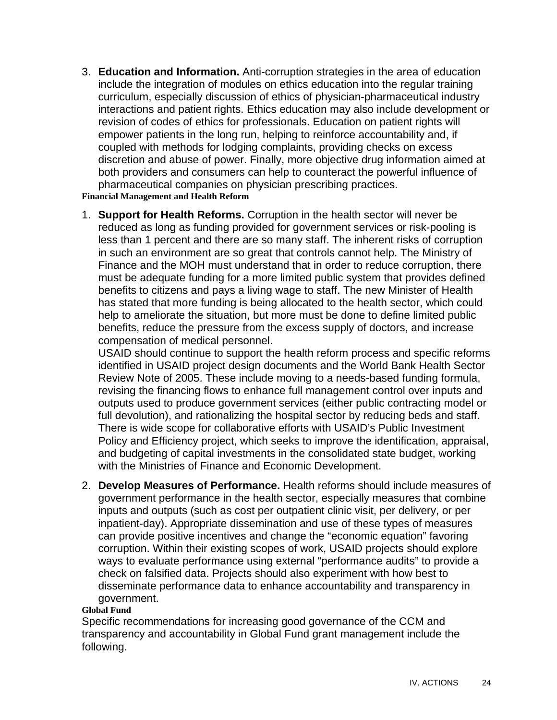<span id="page-34-0"></span>3. **Education and Information.** Anti-corruption strategies in the area of education include the integration of modules on ethics education into the regular training curriculum, especially discussion of ethics of physician-pharmaceutical industry interactions and patient rights. Ethics education may also include development or revision of codes of ethics for professionals. Education on patient rights will empower patients in the long run, helping to reinforce accountability and, if coupled with methods for lodging complaints, providing checks on excess discretion and abuse of power. Finally, more objective drug information aimed at both providers and consumers can help to counteract the powerful influence of pharmaceutical companies on physician prescribing practices.

**Financial Management and Health Reform** 

1. **Support for Health Reforms.** Corruption in the health sector will never be reduced as long as funding provided for government services or risk-pooling is less than 1 percent and there are so many staff. The inherent risks of corruption in such an environment are so great that controls cannot help. The Ministry of Finance and the MOH must understand that in order to reduce corruption, there must be adequate funding for a more limited public system that provides defined benefits to citizens and pays a living wage to staff. The new Minister of Health has stated that more funding is being allocated to the health sector, which could help to ameliorate the situation, but more must be done to define limited public benefits, reduce the pressure from the excess supply of doctors, and increase compensation of medical personnel.

USAID should continue to support the health reform process and specific reforms identified in USAID project design documents and the World Bank Health Sector Review Note of 2005. These include moving to a needs-based funding formula, revising the financing flows to enhance full management control over inputs and outputs used to produce government services (either public contracting model or full devolution), and rationalizing the hospital sector by reducing beds and staff. There is wide scope for collaborative efforts with USAID's Public Investment Policy and Efficiency project, which seeks to improve the identification, appraisal, and budgeting of capital investments in the consolidated state budget, working with the Ministries of Finance and Economic Development.

2. **Develop Measures of Performance.** Health reforms should include measures of government performance in the health sector, especially measures that combine inputs and outputs (such as cost per outpatient clinic visit, per delivery, or per inpatient-day). Appropriate dissemination and use of these types of measures can provide positive incentives and change the "economic equation" favoring corruption. Within their existing scopes of work, USAID projects should explore ways to evaluate performance using external "performance audits" to provide a check on falsified data. Projects should also experiment with how best to disseminate performance data to enhance accountability and transparency in government.

#### **Global Fund**

Specific recommendations for increasing good governance of the CCM and transparency and accountability in Global Fund grant management include the following.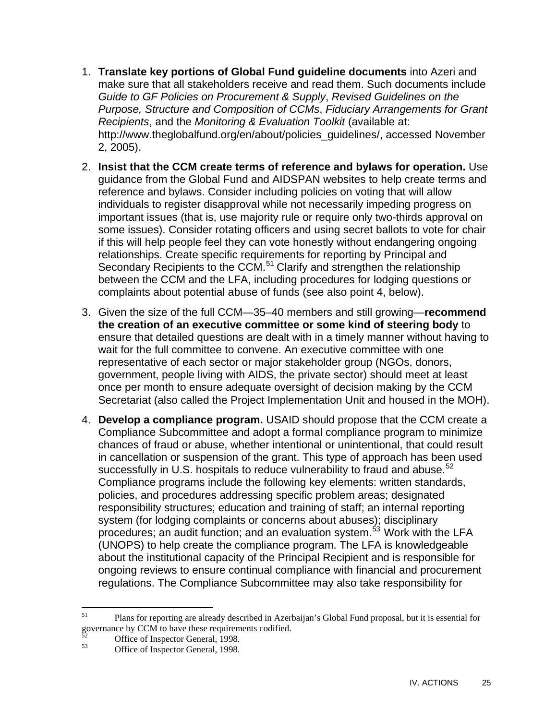- 1. **Translate key portions of Global Fund guideline documents** into Azeri and make sure that all stakeholders receive and read them. Such documents include *Guide to GF Policies on Procurement & Supply*, *Revised Guidelines on the Purpose, Structure and Composition of CCMs*, *Fiduciary Arrangements for Grant Recipients*, and the *Monitoring & Evaluation Toolkit* (available at: http://www.theglobalfund.org/en/about/policies\_guidelines/, accessed November 2, 2005).
- 2. **Insist that the CCM create terms of reference and bylaws for operation.** Use guidance from the Global Fund and AIDSPAN websites to help create terms and reference and bylaws. Consider including policies on voting that will allow individuals to register disapproval while not necessarily impeding progress on important issues (that is, use majority rule or require only two-thirds approval on some issues). Consider rotating officers and using secret ballots to vote for chair if this will help people feel they can vote honestly without endangering ongoing relationships. Create specific requirements for reporting by Principal and Secondary Recipients to the CCM.<sup>[51](#page-35-0)</sup> Clarify and strengthen the relationship between the CCM and the LFA, including procedures for lodging questions or complaints about potential abuse of funds (see also point 4, below).
- 3. Given the size of the full CCM—35–40 members and still growing—**recommend the creation of an executive committee or some kind of steering body** to ensure that detailed questions are dealt with in a timely manner without having to wait for the full committee to convene. An executive committee with one representative of each sector or major stakeholder group (NGOs, donors, government, people living with AIDS, the private sector) should meet at least once per month to ensure adequate oversight of decision making by the CCM Secretariat (also called the Project Implementation Unit and housed in the MOH).
- 4. **Develop a compliance program.** USAID should propose that the CCM create a Compliance Subcommittee and adopt a formal compliance program to minimize chances of fraud or abuse, whether intentional or unintentional, that could result in cancellation or suspension of the grant. This type of approach has been used successfully in U.S. hospitals to reduce vulnerability to fraud and abuse.<sup>[52](#page-35-1)</sup> Compliance programs include the following key elements: written standards, policies, and procedures addressing specific problem areas; designated responsibility structures; education and training of staff; an internal reporting system (for lodging complaints or concerns about abuses); disciplinary procedures; an audit function; and an evaluation system.[53](#page-35-2) Work with the LFA (UNOPS) to help create the compliance program. The LFA is knowledgeable about the institutional capacity of the Principal Recipient and is responsible for ongoing reviews to ensure continual compliance with financial and procurement regulations. The Compliance Subcommittee may also take responsibility for

<span id="page-35-0"></span><sup>51</sup> 51 Plans for reporting are already described in Azerbaijan's Global Fund proposal, but it is essential for governance by CCM to have these requirements codified.

<span id="page-35-1"></span> $^{52}$  Office of Inspector General, 1998.

<span id="page-35-2"></span>Office of Inspector General, 1998.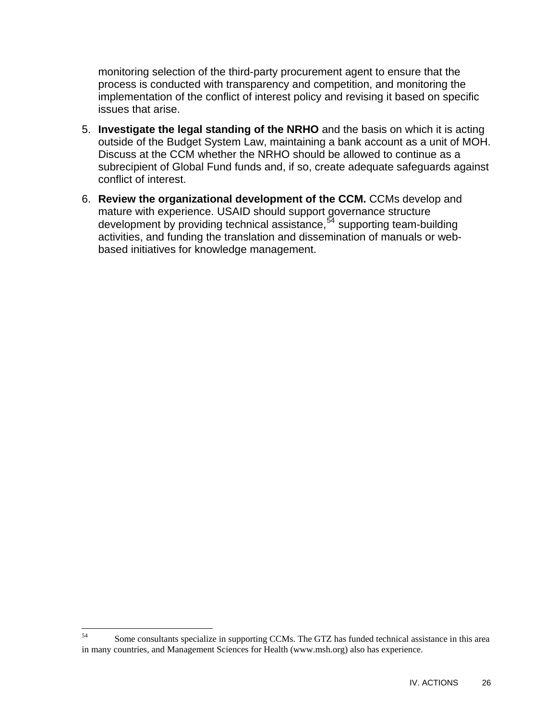monitoring selection of the third-party procurement agent to ensure that the process is conducted with transparency and competition, and monitoring the implementation of the conflict of interest policy and revising it based on specific issues that arise.

- 5. **Investigate the legal standing of the NRHO** and the basis on which it is acting outside of the Budget System Law, maintaining a bank account as a unit of MOH. Discuss at the CCM whether the NRHO should be allowed to continue as a subrecipient of Global Fund funds and, if so, create adequate safeguards against conflict of interest.
- 6. **Review the organizational development of the CCM.** CCMs develop and mature with experience. USAID should support governance structure development by providing technical assistance,<sup>[54](#page-36-0)</sup> supporting team-building activities, and funding the translation and dissemination of manuals or webbased initiatives for knowledge management.

<span id="page-36-0"></span><sup>54</sup> 54 Some consultants specialize in supporting CCMs. The GTZ has funded technical assistance in this area in many countries, and Management Sciences for Health (www.msh.org) also has experience.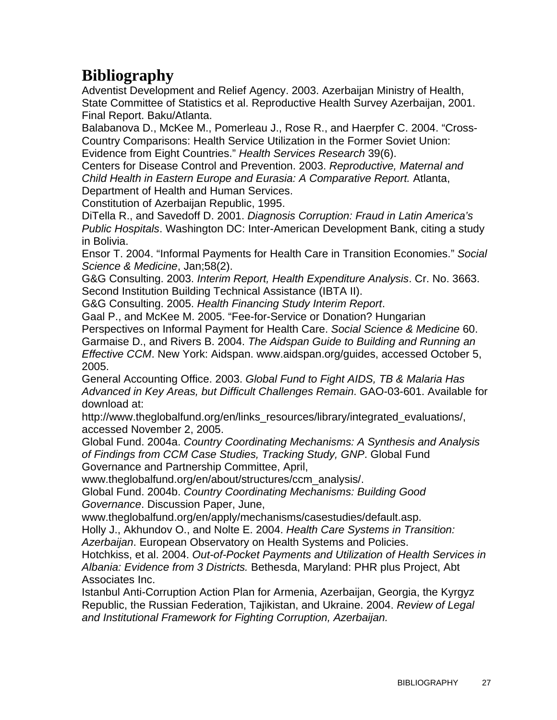## <span id="page-37-0"></span>**Bibliography**

Adventist Development and Relief Agency. 2003. Azerbaijan Ministry of Health, State Committee of Statistics et al. Reproductive Health Survey Azerbaijan, 2001. Final Report. Baku/Atlanta.

Balabanova D., McKee M., Pomerleau J., Rose R., and Haerpfer C. 2004. "Cross-Country Comparisons: Health Service Utilization in the Former Soviet Union: Evidence from Eight Countries." *Health Services Research* 39(6).

Centers for Disease Control and Prevention. 2003. *Reproductive, Maternal and Child Health in Eastern Europe and Eurasia: A Comparative Report.* Atlanta, Department of Health and Human Services.

Constitution of Azerbaijan Republic, 1995.

DiTella R., and Savedoff D. 2001. *Diagnosis Corruption: Fraud in Latin America's Public Hospitals*. Washington DC: Inter-American Development Bank, citing a study in Bolivia.

Ensor T. 2004. "Informal Payments for Health Care in Transition Economies." *Social Science & Medicine*, Jan;58(2).

G&G Consulting. 2003. *Interim Report, Health Expenditure Analysis*. Cr. No. 3663. Second Institution Building Technical Assistance (IBTA II).

G&G Consulting. 2005. *Health Financing Study Interim Report*.

Gaal P., and McKee M. 2005. "Fee-for-Service or Donation? Hungarian Perspectives on Informal Payment for Health Care. *Social Science & Medicine* 60. Garmaise D., and Rivers B. 2004. *The Aidspan Guide to Building and Running an Effective CCM*. New York: Aidspan. www.aidspan.org/guides, accessed October 5, 2005.

General Accounting Office. 2003. *Global Fund to Fight AIDS, TB & Malaria Has Advanced in Key Areas, but Difficult Challenges Remain*. GAO-03-601. Available for download at:

http://www.theglobalfund.org/en/links\_resources/library/integrated\_evaluations/, accessed November 2, 2005.

Global Fund. 2004a. *Country Coordinating Mechanisms: A Synthesis and Analysis of Findings from CCM Case Studies, Tracking Study, GNP*. Global Fund Governance and Partnership Committee, April,

www.theglobalfund.org/en/about/structures/ccm\_analysis/.

Global Fund. 2004b. *Country Coordinating Mechanisms: Building Good Governance*. Discussion Paper, June,

www.theglobalfund.org/en/apply/mechanisms/casestudies/default.asp.

Holly J., Akhundov O., and Nolte E. 2004. *Health Care Systems in Transition: Azerbaijan*. European Observatory on Health Systems and Policies.

Hotchkiss, et al. 2004. *Out-of-Pocket Payments and Utilization of Health Services in Albania: Evidence from 3 Districts.* Bethesda, Maryland: PHR plus Project, Abt Associates Inc.

Istanbul Anti-Corruption Action Plan for Armenia, Azerbaijan, Georgia, the Kyrgyz Republic, the Russian Federation, Tajikistan, and Ukraine. 2004. *Review of Legal and Institutional Framework for Fighting Corruption, Azerbaijan.*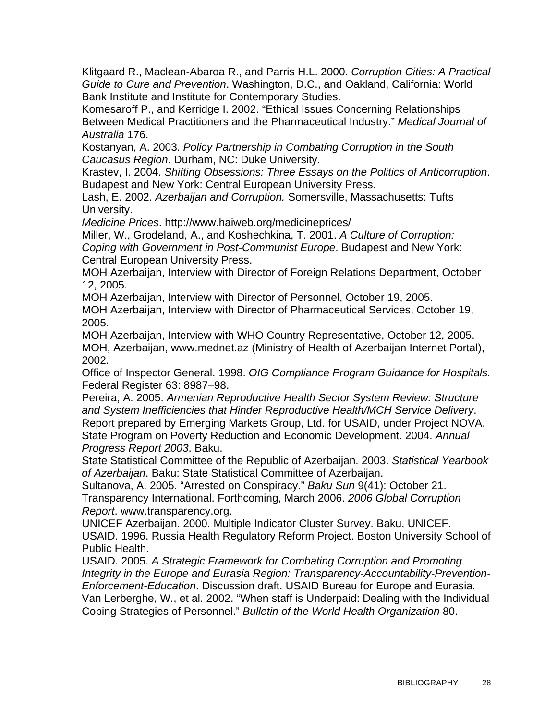Klitgaard R., Maclean-Abaroa R., and Parris H.L. 2000. *Corruption Cities: A Practical Guide to Cure and Prevention*. Washington, D.C., and Oakland, California: World Bank Institute and Institute for Contemporary Studies.

Komesaroff P., and Kerridge I. 2002. "Ethical Issues Concerning Relationships Between Medical Practitioners and the Pharmaceutical Industry." *Medical Journal of Australia* 176.

Kostanyan, A. 2003. *Policy Partnership in Combating Corruption in the South Caucasus Region*. Durham, NC: Duke University.

Krastev, I. 2004. *Shifting Obsessions: Three Essays on the Politics of Anticorruption*. Budapest and New York: Central European University Press.

Lash, E. 2002. *Azerbaijan and Corruption.* Somersville, Massachusetts: Tufts University.

*Medicine Prices*. http://www.haiweb.org/medicineprices/

Miller, W., Grodeland, A., and Koshechkina, T. 2001. *A Culture of Corruption: Coping with Government in Post-Communist Europe*. Budapest and New York: Central European University Press.

MOH Azerbaijan, Interview with Director of Foreign Relations Department, October 12, 2005.

MOH Azerbaijan, Interview with Director of Personnel, October 19, 2005. MOH Azerbaijan, Interview with Director of Pharmaceutical Services, October 19,

2005.

MOH Azerbaijan, Interview with WHO Country Representative, October 12, 2005. MOH, Azerbaijan, www.mednet.az (Ministry of Health of Azerbaijan Internet Portal), 2002.

Office of Inspector General. 1998. *OIG Compliance Program Guidance for Hospitals.* Federal Register 63: 8987–98.

Pereira, A. 2005. *Armenian Reproductive Health Sector System Review: Structure and System Inefficiencies that Hinder Reproductive Health/MCH Service Delivery*. Report prepared by Emerging Markets Group, Ltd. for USAID, under Project NOVA. State Program on Poverty Reduction and Economic Development. 2004. *Annual Progress Report 2003*. Baku.

State Statistical Committee of the Republic of Azerbaijan. 2003. *Statistical Yearbook of Azerbaijan*. Baku: State Statistical Committee of Azerbaijan.

Sultanova, A. 2005. "Arrested on Conspiracy." *Baku Sun* 9(41): October 21. Transparency International. Forthcoming, March 2006. *2006 Global Corruption Report*. www.transparency.org.

UNICEF Azerbaijan. 2000. Multiple Indicator Cluster Survey. Baku, UNICEF. USAID. 1996. Russia Health Regulatory Reform Project. Boston University School of Public Health.

USAID. 2005. *A Strategic Framework for Combating Corruption and Promoting Integrity in the Europe and Eurasia Region: Transparency-Accountability-Prevention-Enforcement-Education*. Discussion draft. USAID Bureau for Europe and Eurasia. Van Lerberghe, W., et al. 2002. "When staff is Underpaid: Dealing with the Individual Coping Strategies of Personnel." *Bulletin of the World Health Organization* 80.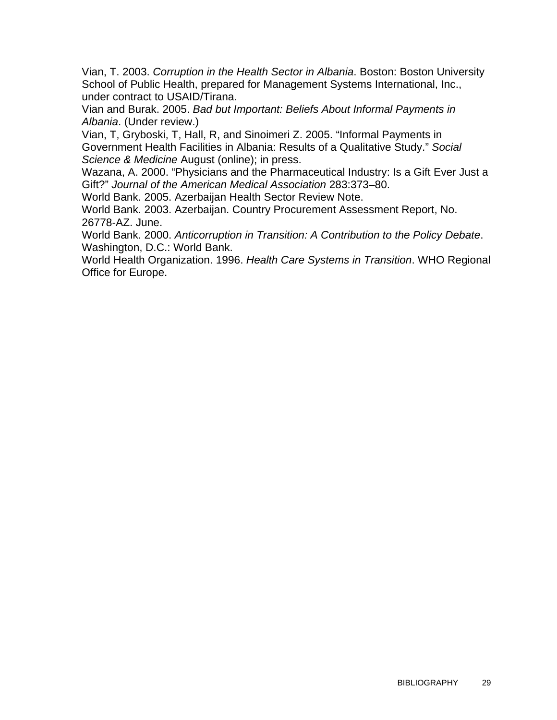Vian, T. 2003. *Corruption in the Health Sector in Albania*. Boston: Boston University School of Public Health, prepared for Management Systems International, Inc., under contract to USAID/Tirana.

Vian and Burak. 2005. *Bad but Important: Beliefs About Informal Payments in Albania*. (Under review.)

Vian, T, Gryboski, T, Hall, R, and Sinoimeri Z. 2005. "Informal Payments in Government Health Facilities in Albania: Results of a Qualitative Study." *Social Science & Medicine* August (online); in press.

Wazana, A. 2000. "Physicians and the Pharmaceutical Industry: Is a Gift Ever Just a Gift?" *Journal of the American Medical Association* 283:373–80.

World Bank. 2005. Azerbaijan Health Sector Review Note.

World Bank. 2003. Azerbaijan. Country Procurement Assessment Report, No. 26778-AZ. June.

World Bank. 2000. *Anticorruption in Transition: A Contribution to the Policy Debate*. Washington, D.C.: World Bank.

World Health Organization. 1996. *Health Care Systems in Transition*. WHO Regional Office for Europe.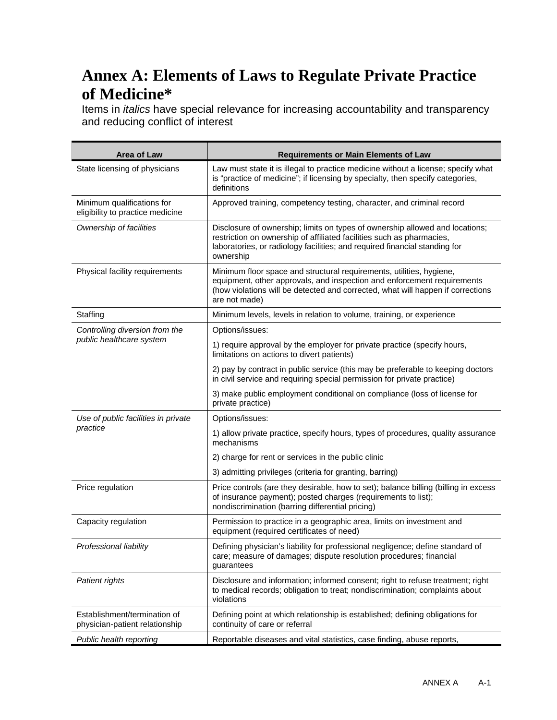## <span id="page-40-0"></span>**Annex A: Elements of Laws to Regulate Private Practice of Medicine\***

Items in *italics* have special relevance for increasing accountability and transparency and reducing conflict of interest

| <b>Area of Law</b>                                             | <b>Requirements or Main Elements of Law</b>                                                                                                                                                                                                         |
|----------------------------------------------------------------|-----------------------------------------------------------------------------------------------------------------------------------------------------------------------------------------------------------------------------------------------------|
| State licensing of physicians                                  | Law must state it is illegal to practice medicine without a license; specify what<br>is "practice of medicine"; if licensing by specialty, then specify categories,<br>definitions                                                                  |
| Minimum qualifications for<br>eligibility to practice medicine | Approved training, competency testing, character, and criminal record                                                                                                                                                                               |
| Ownership of facilities                                        | Disclosure of ownership; limits on types of ownership allowed and locations;<br>restriction on ownership of affiliated facilities such as pharmacies,<br>laboratories, or radiology facilities; and required financial standing for<br>ownership    |
| Physical facility requirements                                 | Minimum floor space and structural requirements, utilities, hygiene,<br>equipment, other approvals, and inspection and enforcement requirements<br>(how violations will be detected and corrected, what will happen if corrections<br>are not made) |
| Staffing                                                       | Minimum levels, levels in relation to volume, training, or experience                                                                                                                                                                               |
| Controlling diversion from the                                 | Options/issues:                                                                                                                                                                                                                                     |
| public healthcare system                                       | 1) require approval by the employer for private practice (specify hours,<br>limitations on actions to divert patients)                                                                                                                              |
|                                                                | 2) pay by contract in public service (this may be preferable to keeping doctors<br>in civil service and requiring special permission for private practice)                                                                                          |
|                                                                | 3) make public employment conditional on compliance (loss of license for<br>private practice)                                                                                                                                                       |
| Use of public facilities in private                            | Options/issues:                                                                                                                                                                                                                                     |
| practice                                                       | 1) allow private practice, specify hours, types of procedures, quality assurance<br>mechanisms                                                                                                                                                      |
|                                                                | 2) charge for rent or services in the public clinic                                                                                                                                                                                                 |
|                                                                | 3) admitting privileges (criteria for granting, barring)                                                                                                                                                                                            |
| Price regulation                                               | Price controls (are they desirable, how to set); balance billing (billing in excess<br>of insurance payment); posted charges (requirements to list);<br>nondiscrimination (barring differential pricing)                                            |
| Capacity regulation                                            | Permission to practice in a geographic area, limits on investment and<br>equipment (required certificates of need)                                                                                                                                  |
| Professional liability                                         | Defining physician's liability for professional negligence; define standard of<br>care; measure of damages; dispute resolution procedures; financial<br>quarantees                                                                                  |
| Patient rights                                                 | Disclosure and information; informed consent; right to refuse treatment; right<br>to medical records; obligation to treat; nondiscrimination; complaints about<br>violations                                                                        |
| Establishment/termination of<br>physician-patient relationship | Defining point at which relationship is established; defining obligations for<br>continuity of care or referral                                                                                                                                     |
| Public health reporting                                        | Reportable diseases and vital statistics, case finding, abuse reports,                                                                                                                                                                              |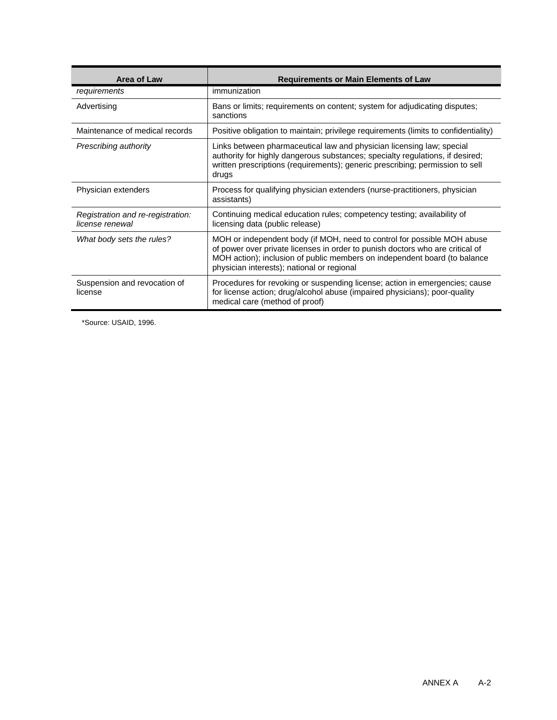| Area of Law                                          | <b>Requirements or Main Elements of Law</b>                                                                                                                                                                                                                                         |
|------------------------------------------------------|-------------------------------------------------------------------------------------------------------------------------------------------------------------------------------------------------------------------------------------------------------------------------------------|
| requirements                                         | immunization                                                                                                                                                                                                                                                                        |
| Advertising                                          | Bans or limits; requirements on content; system for adjudicating disputes;<br>sanctions                                                                                                                                                                                             |
| Maintenance of medical records                       | Positive obligation to maintain; privilege requirements (limits to confidentiality)                                                                                                                                                                                                 |
| Prescribing authority                                | Links between pharmaceutical law and physician licensing law; special<br>authority for highly dangerous substances; specialty regulations, if desired;<br>written prescriptions (requirements); generic prescribing; permission to sell<br>drugs                                    |
| Physician extenders                                  | Process for qualifying physician extenders (nurse-practitioners, physician<br>assistants)                                                                                                                                                                                           |
| Registration and re-registration:<br>license renewal | Continuing medical education rules; competency testing; availability of<br>licensing data (public release)                                                                                                                                                                          |
| What body sets the rules?                            | MOH or independent body (if MOH, need to control for possible MOH abuse<br>of power over private licenses in order to punish doctors who are critical of<br>MOH action); inclusion of public members on independent board (to balance<br>physician interests); national or regional |
| Suspension and revocation of<br>license              | Procedures for revoking or suspending license; action in emergencies; cause<br>for license action; drug/alcohol abuse (impaired physicians); poor-quality<br>medical care (method of proof)                                                                                         |

\*Source: USAID, 1996.